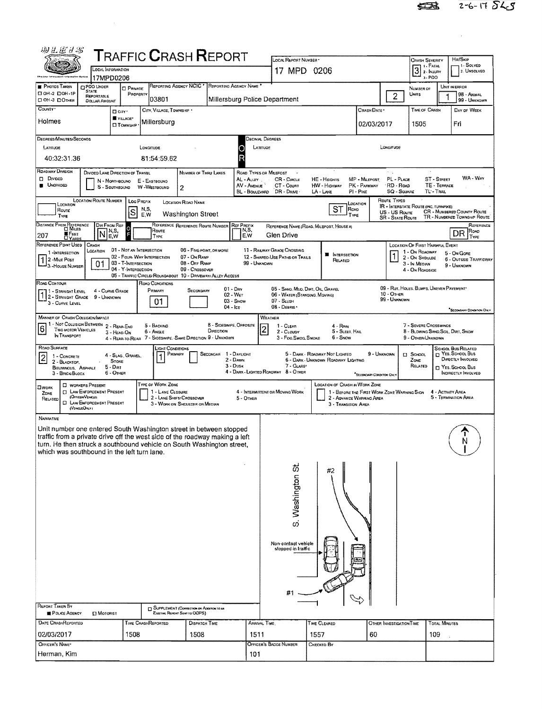$\label{eq:2.1} \frac{1}{\sqrt{2}}\int_{\mathbb{R}^3} \frac{1}{\sqrt{2}}\left(\frac{1}{\sqrt{2}}\right)^2\frac{1}{\sqrt{2}}\left(\frac{1}{\sqrt{2}}\right)^2\frac{1}{\sqrt{2}}\left(\frac{1}{\sqrt{2}}\right)^2.$ 

| 1 - Solved<br>1 FATAL<br>3 <sup>1. FATAL</sup><br>LOCAL INFORMATION<br>17 MPD 0206<br>2. UNSOLVED<br>3-PDO<br>17MPD0206<br>REPORTING AGENCY NCIC *<br>REPORTING AGENCY NAME<br><b>O PDO UNDER</b><br>UNIT IN ERROR<br><b>PRIVATE</b><br>NUMBER OF<br><b>STATE</b><br>C OH-2 COH-1P<br>PROPERTY<br>UNITS<br>98 - ANIMAL<br>$\overline{2}$<br><b>REPORTABLE</b><br>Millersburg Police Department<br>03801<br>99 - UNKNOWN<br><b>DOLLAR AMOUNT</b><br>CITY, VILLAGE, TOWNSHIP<br>TIME OF CRASH<br>CRASH DATE<br>DAY OF WEEK<br>$\Box$ CITY<br><b>WALLAGE*</b><br>Millersburg<br>Fri<br>02/03/2017<br>1505<br><b>CITOWNSHP</b><br>DEGREES/MINUTES/SECONDS<br>Decimal Degrees<br>LATITUDE<br>LONGITUDE<br>LATITUDE<br>Longmups<br>O<br>R<br>40:32:31.36<br>81:54:59.62<br>DIVIDED LANE DIRECTION OF TRAVEL<br>NUMBER OF THRU LANES<br>ROAD TYPES OR MALEPOST<br>۰.<br>WA - Way<br>MP - MILEPOST<br>PL - PLACE<br><b>ST - STREET</b><br>AL - ALLEY<br>CR - CIRCLE<br>HE - HEIGHTS<br>N - NORTHBOUND<br>E - EASTBOUND<br>CT - COURT<br>PK - PARKWAY<br>RD - Roo<br>TE - TERRACE<br>AV - AVENUE<br><b>HW - HIGHWAY</b><br>S - Southspunp<br><b>W-WESTBOUND</b><br>2<br>DR - Dave<br>LA - LANE<br>PI - PIKE<br><b>SQ - SOUNRE</b><br>TL-TRAIL<br>BL - BOULEVARD<br><b>LOCATION ROUTE NUMBER</b><br>ROUTE TYPES<br>LOC PREFIX<br><b>LOCATION ROAD NAME</b><br>LOCATION<br>LOCATION<br><b>IR - INTERSTATE ROUTE (INC. TURNPIKE)</b><br>ST<br>N,S,<br>ROAD<br>Roure<br> S <br>CR - NUMBERED COUNTY ROUTE<br>US - US Route<br><b>Washington Street</b><br>E.W<br>TYPE<br>TYPE<br>TR - NUMBERED TOWNSHIP ROUTE<br><b>SR - STATE ROUTE</b><br>DISTANCE FROM REFERENCE<br>REFERENCE REFERENCE ROUTE NUMBER REF PREFIX<br>DIR FROM REF<br>REFERENCE<br>REFERENCE NAME (ROAD, MILEPOST, HOUSE #)<br>N,S,<br>N,S,<br>E,W<br>Route<br>Roap<br>lN<br>DR<br><b>■FEET</b><br>E, W<br>Glen Drive<br>TYPE<br>TYPE<br><b>UYARDS</b><br>REFERENCE PDINT USED<br>CRASH<br>LOCATION OF FIRST HARMFUL EVENT<br>01 - NOT AN INTERSECTION<br>11 - RAILWAY GRADE CROSSING<br>06 - FIVE-POINT, OR MORE<br>LOCATION<br>1 - On ROAOWAY<br>1 -INTERSECTION<br>5 - On Gore<br><b>N</b> INTERSECTION<br>02 - Four-Way Intersection<br>07 - On RASP<br>12 - SHAREO USE PATHS OR TRAILS<br>2 - On Shoulde<br>2 - MILE POST<br><b>6 - OUTSIDE TRAFFICWAY</b><br>RELATED<br>$0^{\circ}$<br>03 - T-INTERSECTION<br>08 - Off RAMP<br>99 - UNKNOWN<br>3 - In Median<br>9 - UNKNOWN<br>- 3 - House Number<br>04 - Y-INTERSECTION<br>09 - Crossover<br>4 - On ROADSIDE<br>05 - TRAFFIC CIRCLE/ROUNDABOUT 10 - DRIVEWAY/ALLEY ACCESS<br>RGAD CONDITIONS<br>09 - Rut, HOLES, BUMPS, UNEVEN PAVEMENT*<br>05 - SANO, MUD, DIRT, OIL, GRAVEL<br>$01 - \text{Darv}$<br>PRIMARY<br>4 - CURVE GRADE<br>SECONDARY<br>1 - STRAIGHT LEVEL 4 - CURVE GR.<br>1 2 - STRAIGHT GRADE 9 - UNKNOWN<br>$10 -$ Other<br>02 - WET<br>06 - WATER (STANDING, MDVING)<br>99 - UNKNOWN<br>$07 -$ SLUSH<br>01<br>03 - Snow<br>3 - CURVE LEVEL<br>08 - Deans ·<br>$04 -$ Ice<br><sup>*</sup> SECOMMAY CONDITION ONLY<br>MANNER OF CRASH COLLISION/IMPACT<br>WEATHER<br>1 - NOT COLLISION BETWEEN<br>8 - SIDESWIPE, OPPOSITE<br>7 - SEVERE CROSSWINDS<br>2 - REAR-END<br>5 - BACKING<br>1 - CLEAR<br>$\overline{6}$<br>4 - Rain<br>2<br>Two MOTOR VEHICLES<br>DIRECTION<br>5 - SLEET, HAIL<br>8 - BLOWING SAND SOIL, DIRT, SNOW<br>6 - Angle<br>2 - CLOUDY<br>3 - HEAD-ON<br>IN TRANSPORT<br>4 - REAR-TO-REAR 7 - SIDESWIPE, SAME DIRECTION 9 - UNKNOWN<br>3 - Fog, Smog, Smoke<br>6 - Snow<br>9 - OTHER/UNKNOWN<br>School Bus Related<br>Light Conditions<br>T YES. SCHOOL BUS<br>1 - DAYLIGHT<br>9 - UNKNOWN<br>PRIMARY<br>SECONDAR<br>5 - DARK - ROADWAY NOT LIGHTEO<br><b>El SCHOOL</b><br>4 - SLAG, GRAVEL,<br>1 - CONCRETE<br>$\overline{2}$<br>DIRECTLY INVOLVED<br>2 - Dawn<br>6 - DARK - UNKNOWN ROADWAY LIGHTING<br>ZONE<br>STONE<br>2 - BLACKTOP.<br>3 - Dusk<br>7 - GLARE*<br>RELATED<br>$5 - D$<br>T YES, SCHOOL BUS<br>BITUMINOUS, ASPRALT<br>4 - DARK - LIGHTED ROADWAY 8 - OTHER<br>6 - OTHER<br>INDIRECTLY INVOLVED<br>3 - BRICK BLOCK<br>*SECONDARY CONDITION ONLY<br>TYPE OF WORK ZONE<br><b>LOCATION OF CRASH IN WORK ZONE</b><br>WORKERS PRESENT<br>□<br>LAW ENFORCEMENT PRESENT<br>1 - LANE CLOSURE<br>4 - INTERMITTENT OR MOVING WORK<br>1 - BEFORE THE FIRST WORK ZONE WARNING SIGN<br>$\Box$<br>4 - ACTIVITY AREA<br>ZONE<br>(OFFICER/VENICLE)<br>5 - TERMINATION AREA<br>2 - LANE SHIFT/ CROSSOVER<br>2 - ADVANCE WARNING AREA<br>5 - OTHER<br>RELATED<br>D.<br>LAW ENFORCEMENT PRESENT<br>3 - WORK ON SHOULDER OR MEDIAN<br>3 - TRANSITION AREA<br>(VENCLEONLY)<br><b>NARRATIVE</b><br>Unit number one entered South Washington street in between stopped<br>traffic from a private drive off the west side of the roadway making a left<br>turn. He then struck a southbound vehicle on South Washington street,<br>which was southbound in the left turn lane.<br>S. Washington St<br>#2<br>Non-contact vehicle<br>stopped in traffic<br>Þ<br>SUPPLEMENT (CORRECTON OR ADDITION TO AN<br>EXISTING REPORT SENT TO ODPS)<br>POLICE AGENCY<br>$\Box$ Motorist<br>DATE CRASHREPORTED<br>ARRIVAL TIME,<br>TIME CLEARED<br>TIME CRASHREPORTED<br>DISPATCH TIME<br><b>TOTAL MINUTES</b><br>OTHER INVESTIGATION TIME<br>1511<br>1508<br>1508<br>1557<br>60<br>109<br>OFFICER'S BADGE NUMBER<br>Снескер Ву<br>101 | 羽兰尼什名                                |  |  |  |  |  | <b>T</b> RAFFIC <b>C</b> RASH <b>R</b> EPORT |  | LOCAL REPORT NUMBER |  |  |  | <b>CRASH SEVERITY</b> |  | Hn/SkiP |
|-----------------------------------------------------------------------------------------------------------------------------------------------------------------------------------------------------------------------------------------------------------------------------------------------------------------------------------------------------------------------------------------------------------------------------------------------------------------------------------------------------------------------------------------------------------------------------------------------------------------------------------------------------------------------------------------------------------------------------------------------------------------------------------------------------------------------------------------------------------------------------------------------------------------------------------------------------------------------------------------------------------------------------------------------------------------------------------------------------------------------------------------------------------------------------------------------------------------------------------------------------------------------------------------------------------------------------------------------------------------------------------------------------------------------------------------------------------------------------------------------------------------------------------------------------------------------------------------------------------------------------------------------------------------------------------------------------------------------------------------------------------------------------------------------------------------------------------------------------------------------------------------------------------------------------------------------------------------------------------------------------------------------------------------------------------------------------------------------------------------------------------------------------------------------------------------------------------------------------------------------------------------------------------------------------------------------------------------------------------------------------------------------------------------------------------------------------------------------------------------------------------------------------------------------------------------------------------------------------------------------------------------------------------------------------------------------------------------------------------------------------------------------------------------------------------------------------------------------------------------------------------------------------------------------------------------------------------------------------------------------------------------------------------------------------------------------------------------------------------------------------------------------------------------------------------------------------------------------------------------------------------------------------------------------------------------------------------------------------------------------------------------------------------------------------------------------------------------------------------------------------------------------------------------------------------------------------------------------------------------------------------------------------------------------------------------------------------------------------------------------------------------------------------------------------------------------------------------------------------------------------------------------------------------------------------------------------------------------------------------------------------------------------------------------------------------------------------------------------------------------------------------------------------------------------------------------------------------------------------------------------------------------------------------------------------------------------------------------------------------------------------------------------------------------------------------------------------------------------------------------------------------------------------------------------------------------------------------------------------------------------------------------------------------------------------------------------------------------------------------------------------------------------------------------------------------------------------------------------------------------------------------------------------------------------------------------------------------------------------------------------------------------------------------------------------------------------------------------------------------------------------------------------------------------------------------------------------------------------------------------------------------------------------------------------------------------------------------------------------|--------------------------------------|--|--|--|--|--|----------------------------------------------|--|---------------------|--|--|--|-----------------------|--|---------|
|                                                                                                                                                                                                                                                                                                                                                                                                                                                                                                                                                                                                                                                                                                                                                                                                                                                                                                                                                                                                                                                                                                                                                                                                                                                                                                                                                                                                                                                                                                                                                                                                                                                                                                                                                                                                                                                                                                                                                                                                                                                                                                                                                                                                                                                                                                                                                                                                                                                                                                                                                                                                                                                                                                                                                                                                                                                                                                                                                                                                                                                                                                                                                                                                                                                                                                                                                                                                                                                                                                                                                                                                                                                                                                                                                                                                                                                                                                                                                                                                                                                                                                                                                                                                                                                                                                                                                                                                                                                                                                                                                                                                                                                                                                                                                                                                                                                                                                                                                                                                                                                                                                                                                                                                                                                                                                                                                           |                                      |  |  |  |  |  |                                              |  |                     |  |  |  |                       |  |         |
|                                                                                                                                                                                                                                                                                                                                                                                                                                                                                                                                                                                                                                                                                                                                                                                                                                                                                                                                                                                                                                                                                                                                                                                                                                                                                                                                                                                                                                                                                                                                                                                                                                                                                                                                                                                                                                                                                                                                                                                                                                                                                                                                                                                                                                                                                                                                                                                                                                                                                                                                                                                                                                                                                                                                                                                                                                                                                                                                                                                                                                                                                                                                                                                                                                                                                                                                                                                                                                                                                                                                                                                                                                                                                                                                                                                                                                                                                                                                                                                                                                                                                                                                                                                                                                                                                                                                                                                                                                                                                                                                                                                                                                                                                                                                                                                                                                                                                                                                                                                                                                                                                                                                                                                                                                                                                                                                                           | <b>PHOTOS TAKEN</b>                  |  |  |  |  |  |                                              |  |                     |  |  |  |                       |  |         |
|                                                                                                                                                                                                                                                                                                                                                                                                                                                                                                                                                                                                                                                                                                                                                                                                                                                                                                                                                                                                                                                                                                                                                                                                                                                                                                                                                                                                                                                                                                                                                                                                                                                                                                                                                                                                                                                                                                                                                                                                                                                                                                                                                                                                                                                                                                                                                                                                                                                                                                                                                                                                                                                                                                                                                                                                                                                                                                                                                                                                                                                                                                                                                                                                                                                                                                                                                                                                                                                                                                                                                                                                                                                                                                                                                                                                                                                                                                                                                                                                                                                                                                                                                                                                                                                                                                                                                                                                                                                                                                                                                                                                                                                                                                                                                                                                                                                                                                                                                                                                                                                                                                                                                                                                                                                                                                                                                           | □ ОН-3 □ ОТНЕЯ                       |  |  |  |  |  |                                              |  |                     |  |  |  |                       |  |         |
|                                                                                                                                                                                                                                                                                                                                                                                                                                                                                                                                                                                                                                                                                                                                                                                                                                                                                                                                                                                                                                                                                                                                                                                                                                                                                                                                                                                                                                                                                                                                                                                                                                                                                                                                                                                                                                                                                                                                                                                                                                                                                                                                                                                                                                                                                                                                                                                                                                                                                                                                                                                                                                                                                                                                                                                                                                                                                                                                                                                                                                                                                                                                                                                                                                                                                                                                                                                                                                                                                                                                                                                                                                                                                                                                                                                                                                                                                                                                                                                                                                                                                                                                                                                                                                                                                                                                                                                                                                                                                                                                                                                                                                                                                                                                                                                                                                                                                                                                                                                                                                                                                                                                                                                                                                                                                                                                                           | COUNTY <sup>.</sup>                  |  |  |  |  |  |                                              |  |                     |  |  |  |                       |  |         |
|                                                                                                                                                                                                                                                                                                                                                                                                                                                                                                                                                                                                                                                                                                                                                                                                                                                                                                                                                                                                                                                                                                                                                                                                                                                                                                                                                                                                                                                                                                                                                                                                                                                                                                                                                                                                                                                                                                                                                                                                                                                                                                                                                                                                                                                                                                                                                                                                                                                                                                                                                                                                                                                                                                                                                                                                                                                                                                                                                                                                                                                                                                                                                                                                                                                                                                                                                                                                                                                                                                                                                                                                                                                                                                                                                                                                                                                                                                                                                                                                                                                                                                                                                                                                                                                                                                                                                                                                                                                                                                                                                                                                                                                                                                                                                                                                                                                                                                                                                                                                                                                                                                                                                                                                                                                                                                                                                           | Holmes                               |  |  |  |  |  |                                              |  |                     |  |  |  |                       |  |         |
|                                                                                                                                                                                                                                                                                                                                                                                                                                                                                                                                                                                                                                                                                                                                                                                                                                                                                                                                                                                                                                                                                                                                                                                                                                                                                                                                                                                                                                                                                                                                                                                                                                                                                                                                                                                                                                                                                                                                                                                                                                                                                                                                                                                                                                                                                                                                                                                                                                                                                                                                                                                                                                                                                                                                                                                                                                                                                                                                                                                                                                                                                                                                                                                                                                                                                                                                                                                                                                                                                                                                                                                                                                                                                                                                                                                                                                                                                                                                                                                                                                                                                                                                                                                                                                                                                                                                                                                                                                                                                                                                                                                                                                                                                                                                                                                                                                                                                                                                                                                                                                                                                                                                                                                                                                                                                                                                                           |                                      |  |  |  |  |  |                                              |  |                     |  |  |  |                       |  |         |
|                                                                                                                                                                                                                                                                                                                                                                                                                                                                                                                                                                                                                                                                                                                                                                                                                                                                                                                                                                                                                                                                                                                                                                                                                                                                                                                                                                                                                                                                                                                                                                                                                                                                                                                                                                                                                                                                                                                                                                                                                                                                                                                                                                                                                                                                                                                                                                                                                                                                                                                                                                                                                                                                                                                                                                                                                                                                                                                                                                                                                                                                                                                                                                                                                                                                                                                                                                                                                                                                                                                                                                                                                                                                                                                                                                                                                                                                                                                                                                                                                                                                                                                                                                                                                                                                                                                                                                                                                                                                                                                                                                                                                                                                                                                                                                                                                                                                                                                                                                                                                                                                                                                                                                                                                                                                                                                                                           |                                      |  |  |  |  |  |                                              |  |                     |  |  |  |                       |  |         |
|                                                                                                                                                                                                                                                                                                                                                                                                                                                                                                                                                                                                                                                                                                                                                                                                                                                                                                                                                                                                                                                                                                                                                                                                                                                                                                                                                                                                                                                                                                                                                                                                                                                                                                                                                                                                                                                                                                                                                                                                                                                                                                                                                                                                                                                                                                                                                                                                                                                                                                                                                                                                                                                                                                                                                                                                                                                                                                                                                                                                                                                                                                                                                                                                                                                                                                                                                                                                                                                                                                                                                                                                                                                                                                                                                                                                                                                                                                                                                                                                                                                                                                                                                                                                                                                                                                                                                                                                                                                                                                                                                                                                                                                                                                                                                                                                                                                                                                                                                                                                                                                                                                                                                                                                                                                                                                                                                           |                                      |  |  |  |  |  |                                              |  |                     |  |  |  |                       |  |         |
|                                                                                                                                                                                                                                                                                                                                                                                                                                                                                                                                                                                                                                                                                                                                                                                                                                                                                                                                                                                                                                                                                                                                                                                                                                                                                                                                                                                                                                                                                                                                                                                                                                                                                                                                                                                                                                                                                                                                                                                                                                                                                                                                                                                                                                                                                                                                                                                                                                                                                                                                                                                                                                                                                                                                                                                                                                                                                                                                                                                                                                                                                                                                                                                                                                                                                                                                                                                                                                                                                                                                                                                                                                                                                                                                                                                                                                                                                                                                                                                                                                                                                                                                                                                                                                                                                                                                                                                                                                                                                                                                                                                                                                                                                                                                                                                                                                                                                                                                                                                                                                                                                                                                                                                                                                                                                                                                                           | ROADWAY DIVISION<br><b>D</b> Divideo |  |  |  |  |  |                                              |  |                     |  |  |  |                       |  |         |
|                                                                                                                                                                                                                                                                                                                                                                                                                                                                                                                                                                                                                                                                                                                                                                                                                                                                                                                                                                                                                                                                                                                                                                                                                                                                                                                                                                                                                                                                                                                                                                                                                                                                                                                                                                                                                                                                                                                                                                                                                                                                                                                                                                                                                                                                                                                                                                                                                                                                                                                                                                                                                                                                                                                                                                                                                                                                                                                                                                                                                                                                                                                                                                                                                                                                                                                                                                                                                                                                                                                                                                                                                                                                                                                                                                                                                                                                                                                                                                                                                                                                                                                                                                                                                                                                                                                                                                                                                                                                                                                                                                                                                                                                                                                                                                                                                                                                                                                                                                                                                                                                                                                                                                                                                                                                                                                                                           | <b>UNDIVIOED</b>                     |  |  |  |  |  |                                              |  |                     |  |  |  |                       |  |         |
|                                                                                                                                                                                                                                                                                                                                                                                                                                                                                                                                                                                                                                                                                                                                                                                                                                                                                                                                                                                                                                                                                                                                                                                                                                                                                                                                                                                                                                                                                                                                                                                                                                                                                                                                                                                                                                                                                                                                                                                                                                                                                                                                                                                                                                                                                                                                                                                                                                                                                                                                                                                                                                                                                                                                                                                                                                                                                                                                                                                                                                                                                                                                                                                                                                                                                                                                                                                                                                                                                                                                                                                                                                                                                                                                                                                                                                                                                                                                                                                                                                                                                                                                                                                                                                                                                                                                                                                                                                                                                                                                                                                                                                                                                                                                                                                                                                                                                                                                                                                                                                                                                                                                                                                                                                                                                                                                                           |                                      |  |  |  |  |  |                                              |  |                     |  |  |  |                       |  |         |
|                                                                                                                                                                                                                                                                                                                                                                                                                                                                                                                                                                                                                                                                                                                                                                                                                                                                                                                                                                                                                                                                                                                                                                                                                                                                                                                                                                                                                                                                                                                                                                                                                                                                                                                                                                                                                                                                                                                                                                                                                                                                                                                                                                                                                                                                                                                                                                                                                                                                                                                                                                                                                                                                                                                                                                                                                                                                                                                                                                                                                                                                                                                                                                                                                                                                                                                                                                                                                                                                                                                                                                                                                                                                                                                                                                                                                                                                                                                                                                                                                                                                                                                                                                                                                                                                                                                                                                                                                                                                                                                                                                                                                                                                                                                                                                                                                                                                                                                                                                                                                                                                                                                                                                                                                                                                                                                                                           |                                      |  |  |  |  |  |                                              |  |                     |  |  |  |                       |  |         |
|                                                                                                                                                                                                                                                                                                                                                                                                                                                                                                                                                                                                                                                                                                                                                                                                                                                                                                                                                                                                                                                                                                                                                                                                                                                                                                                                                                                                                                                                                                                                                                                                                                                                                                                                                                                                                                                                                                                                                                                                                                                                                                                                                                                                                                                                                                                                                                                                                                                                                                                                                                                                                                                                                                                                                                                                                                                                                                                                                                                                                                                                                                                                                                                                                                                                                                                                                                                                                                                                                                                                                                                                                                                                                                                                                                                                                                                                                                                                                                                                                                                                                                                                                                                                                                                                                                                                                                                                                                                                                                                                                                                                                                                                                                                                                                                                                                                                                                                                                                                                                                                                                                                                                                                                                                                                                                                                                           |                                      |  |  |  |  |  |                                              |  |                     |  |  |  |                       |  |         |
|                                                                                                                                                                                                                                                                                                                                                                                                                                                                                                                                                                                                                                                                                                                                                                                                                                                                                                                                                                                                                                                                                                                                                                                                                                                                                                                                                                                                                                                                                                                                                                                                                                                                                                                                                                                                                                                                                                                                                                                                                                                                                                                                                                                                                                                                                                                                                                                                                                                                                                                                                                                                                                                                                                                                                                                                                                                                                                                                                                                                                                                                                                                                                                                                                                                                                                                                                                                                                                                                                                                                                                                                                                                                                                                                                                                                                                                                                                                                                                                                                                                                                                                                                                                                                                                                                                                                                                                                                                                                                                                                                                                                                                                                                                                                                                                                                                                                                                                                                                                                                                                                                                                                                                                                                                                                                                                                                           | 207                                  |  |  |  |  |  |                                              |  |                     |  |  |  |                       |  |         |
|                                                                                                                                                                                                                                                                                                                                                                                                                                                                                                                                                                                                                                                                                                                                                                                                                                                                                                                                                                                                                                                                                                                                                                                                                                                                                                                                                                                                                                                                                                                                                                                                                                                                                                                                                                                                                                                                                                                                                                                                                                                                                                                                                                                                                                                                                                                                                                                                                                                                                                                                                                                                                                                                                                                                                                                                                                                                                                                                                                                                                                                                                                                                                                                                                                                                                                                                                                                                                                                                                                                                                                                                                                                                                                                                                                                                                                                                                                                                                                                                                                                                                                                                                                                                                                                                                                                                                                                                                                                                                                                                                                                                                                                                                                                                                                                                                                                                                                                                                                                                                                                                                                                                                                                                                                                                                                                                                           |                                      |  |  |  |  |  |                                              |  |                     |  |  |  |                       |  |         |
|                                                                                                                                                                                                                                                                                                                                                                                                                                                                                                                                                                                                                                                                                                                                                                                                                                                                                                                                                                                                                                                                                                                                                                                                                                                                                                                                                                                                                                                                                                                                                                                                                                                                                                                                                                                                                                                                                                                                                                                                                                                                                                                                                                                                                                                                                                                                                                                                                                                                                                                                                                                                                                                                                                                                                                                                                                                                                                                                                                                                                                                                                                                                                                                                                                                                                                                                                                                                                                                                                                                                                                                                                                                                                                                                                                                                                                                                                                                                                                                                                                                                                                                                                                                                                                                                                                                                                                                                                                                                                                                                                                                                                                                                                                                                                                                                                                                                                                                                                                                                                                                                                                                                                                                                                                                                                                                                                           |                                      |  |  |  |  |  |                                              |  |                     |  |  |  |                       |  |         |
|                                                                                                                                                                                                                                                                                                                                                                                                                                                                                                                                                                                                                                                                                                                                                                                                                                                                                                                                                                                                                                                                                                                                                                                                                                                                                                                                                                                                                                                                                                                                                                                                                                                                                                                                                                                                                                                                                                                                                                                                                                                                                                                                                                                                                                                                                                                                                                                                                                                                                                                                                                                                                                                                                                                                                                                                                                                                                                                                                                                                                                                                                                                                                                                                                                                                                                                                                                                                                                                                                                                                                                                                                                                                                                                                                                                                                                                                                                                                                                                                                                                                                                                                                                                                                                                                                                                                                                                                                                                                                                                                                                                                                                                                                                                                                                                                                                                                                                                                                                                                                                                                                                                                                                                                                                                                                                                                                           |                                      |  |  |  |  |  |                                              |  |                     |  |  |  |                       |  |         |
|                                                                                                                                                                                                                                                                                                                                                                                                                                                                                                                                                                                                                                                                                                                                                                                                                                                                                                                                                                                                                                                                                                                                                                                                                                                                                                                                                                                                                                                                                                                                                                                                                                                                                                                                                                                                                                                                                                                                                                                                                                                                                                                                                                                                                                                                                                                                                                                                                                                                                                                                                                                                                                                                                                                                                                                                                                                                                                                                                                                                                                                                                                                                                                                                                                                                                                                                                                                                                                                                                                                                                                                                                                                                                                                                                                                                                                                                                                                                                                                                                                                                                                                                                                                                                                                                                                                                                                                                                                                                                                                                                                                                                                                                                                                                                                                                                                                                                                                                                                                                                                                                                                                                                                                                                                                                                                                                                           | ROAD CONTOUR                         |  |  |  |  |  |                                              |  |                     |  |  |  |                       |  |         |
|                                                                                                                                                                                                                                                                                                                                                                                                                                                                                                                                                                                                                                                                                                                                                                                                                                                                                                                                                                                                                                                                                                                                                                                                                                                                                                                                                                                                                                                                                                                                                                                                                                                                                                                                                                                                                                                                                                                                                                                                                                                                                                                                                                                                                                                                                                                                                                                                                                                                                                                                                                                                                                                                                                                                                                                                                                                                                                                                                                                                                                                                                                                                                                                                                                                                                                                                                                                                                                                                                                                                                                                                                                                                                                                                                                                                                                                                                                                                                                                                                                                                                                                                                                                                                                                                                                                                                                                                                                                                                                                                                                                                                                                                                                                                                                                                                                                                                                                                                                                                                                                                                                                                                                                                                                                                                                                                                           |                                      |  |  |  |  |  |                                              |  |                     |  |  |  |                       |  |         |
|                                                                                                                                                                                                                                                                                                                                                                                                                                                                                                                                                                                                                                                                                                                                                                                                                                                                                                                                                                                                                                                                                                                                                                                                                                                                                                                                                                                                                                                                                                                                                                                                                                                                                                                                                                                                                                                                                                                                                                                                                                                                                                                                                                                                                                                                                                                                                                                                                                                                                                                                                                                                                                                                                                                                                                                                                                                                                                                                                                                                                                                                                                                                                                                                                                                                                                                                                                                                                                                                                                                                                                                                                                                                                                                                                                                                                                                                                                                                                                                                                                                                                                                                                                                                                                                                                                                                                                                                                                                                                                                                                                                                                                                                                                                                                                                                                                                                                                                                                                                                                                                                                                                                                                                                                                                                                                                                                           |                                      |  |  |  |  |  |                                              |  |                     |  |  |  |                       |  |         |
|                                                                                                                                                                                                                                                                                                                                                                                                                                                                                                                                                                                                                                                                                                                                                                                                                                                                                                                                                                                                                                                                                                                                                                                                                                                                                                                                                                                                                                                                                                                                                                                                                                                                                                                                                                                                                                                                                                                                                                                                                                                                                                                                                                                                                                                                                                                                                                                                                                                                                                                                                                                                                                                                                                                                                                                                                                                                                                                                                                                                                                                                                                                                                                                                                                                                                                                                                                                                                                                                                                                                                                                                                                                                                                                                                                                                                                                                                                                                                                                                                                                                                                                                                                                                                                                                                                                                                                                                                                                                                                                                                                                                                                                                                                                                                                                                                                                                                                                                                                                                                                                                                                                                                                                                                                                                                                                                                           |                                      |  |  |  |  |  |                                              |  |                     |  |  |  |                       |  |         |
|                                                                                                                                                                                                                                                                                                                                                                                                                                                                                                                                                                                                                                                                                                                                                                                                                                                                                                                                                                                                                                                                                                                                                                                                                                                                                                                                                                                                                                                                                                                                                                                                                                                                                                                                                                                                                                                                                                                                                                                                                                                                                                                                                                                                                                                                                                                                                                                                                                                                                                                                                                                                                                                                                                                                                                                                                                                                                                                                                                                                                                                                                                                                                                                                                                                                                                                                                                                                                                                                                                                                                                                                                                                                                                                                                                                                                                                                                                                                                                                                                                                                                                                                                                                                                                                                                                                                                                                                                                                                                                                                                                                                                                                                                                                                                                                                                                                                                                                                                                                                                                                                                                                                                                                                                                                                                                                                                           |                                      |  |  |  |  |  |                                              |  |                     |  |  |  |                       |  |         |
|                                                                                                                                                                                                                                                                                                                                                                                                                                                                                                                                                                                                                                                                                                                                                                                                                                                                                                                                                                                                                                                                                                                                                                                                                                                                                                                                                                                                                                                                                                                                                                                                                                                                                                                                                                                                                                                                                                                                                                                                                                                                                                                                                                                                                                                                                                                                                                                                                                                                                                                                                                                                                                                                                                                                                                                                                                                                                                                                                                                                                                                                                                                                                                                                                                                                                                                                                                                                                                                                                                                                                                                                                                                                                                                                                                                                                                                                                                                                                                                                                                                                                                                                                                                                                                                                                                                                                                                                                                                                                                                                                                                                                                                                                                                                                                                                                                                                                                                                                                                                                                                                                                                                                                                                                                                                                                                                                           | ROAD SURFACE                         |  |  |  |  |  |                                              |  |                     |  |  |  |                       |  |         |
|                                                                                                                                                                                                                                                                                                                                                                                                                                                                                                                                                                                                                                                                                                                                                                                                                                                                                                                                                                                                                                                                                                                                                                                                                                                                                                                                                                                                                                                                                                                                                                                                                                                                                                                                                                                                                                                                                                                                                                                                                                                                                                                                                                                                                                                                                                                                                                                                                                                                                                                                                                                                                                                                                                                                                                                                                                                                                                                                                                                                                                                                                                                                                                                                                                                                                                                                                                                                                                                                                                                                                                                                                                                                                                                                                                                                                                                                                                                                                                                                                                                                                                                                                                                                                                                                                                                                                                                                                                                                                                                                                                                                                                                                                                                                                                                                                                                                                                                                                                                                                                                                                                                                                                                                                                                                                                                                                           |                                      |  |  |  |  |  |                                              |  |                     |  |  |  |                       |  |         |
|                                                                                                                                                                                                                                                                                                                                                                                                                                                                                                                                                                                                                                                                                                                                                                                                                                                                                                                                                                                                                                                                                                                                                                                                                                                                                                                                                                                                                                                                                                                                                                                                                                                                                                                                                                                                                                                                                                                                                                                                                                                                                                                                                                                                                                                                                                                                                                                                                                                                                                                                                                                                                                                                                                                                                                                                                                                                                                                                                                                                                                                                                                                                                                                                                                                                                                                                                                                                                                                                                                                                                                                                                                                                                                                                                                                                                                                                                                                                                                                                                                                                                                                                                                                                                                                                                                                                                                                                                                                                                                                                                                                                                                                                                                                                                                                                                                                                                                                                                                                                                                                                                                                                                                                                                                                                                                                                                           |                                      |  |  |  |  |  |                                              |  |                     |  |  |  |                       |  |         |
|                                                                                                                                                                                                                                                                                                                                                                                                                                                                                                                                                                                                                                                                                                                                                                                                                                                                                                                                                                                                                                                                                                                                                                                                                                                                                                                                                                                                                                                                                                                                                                                                                                                                                                                                                                                                                                                                                                                                                                                                                                                                                                                                                                                                                                                                                                                                                                                                                                                                                                                                                                                                                                                                                                                                                                                                                                                                                                                                                                                                                                                                                                                                                                                                                                                                                                                                                                                                                                                                                                                                                                                                                                                                                                                                                                                                                                                                                                                                                                                                                                                                                                                                                                                                                                                                                                                                                                                                                                                                                                                                                                                                                                                                                                                                                                                                                                                                                                                                                                                                                                                                                                                                                                                                                                                                                                                                                           | <b>OWORK</b>                         |  |  |  |  |  |                                              |  |                     |  |  |  |                       |  |         |
|                                                                                                                                                                                                                                                                                                                                                                                                                                                                                                                                                                                                                                                                                                                                                                                                                                                                                                                                                                                                                                                                                                                                                                                                                                                                                                                                                                                                                                                                                                                                                                                                                                                                                                                                                                                                                                                                                                                                                                                                                                                                                                                                                                                                                                                                                                                                                                                                                                                                                                                                                                                                                                                                                                                                                                                                                                                                                                                                                                                                                                                                                                                                                                                                                                                                                                                                                                                                                                                                                                                                                                                                                                                                                                                                                                                                                                                                                                                                                                                                                                                                                                                                                                                                                                                                                                                                                                                                                                                                                                                                                                                                                                                                                                                                                                                                                                                                                                                                                                                                                                                                                                                                                                                                                                                                                                                                                           |                                      |  |  |  |  |  |                                              |  |                     |  |  |  |                       |  |         |
|                                                                                                                                                                                                                                                                                                                                                                                                                                                                                                                                                                                                                                                                                                                                                                                                                                                                                                                                                                                                                                                                                                                                                                                                                                                                                                                                                                                                                                                                                                                                                                                                                                                                                                                                                                                                                                                                                                                                                                                                                                                                                                                                                                                                                                                                                                                                                                                                                                                                                                                                                                                                                                                                                                                                                                                                                                                                                                                                                                                                                                                                                                                                                                                                                                                                                                                                                                                                                                                                                                                                                                                                                                                                                                                                                                                                                                                                                                                                                                                                                                                                                                                                                                                                                                                                                                                                                                                                                                                                                                                                                                                                                                                                                                                                                                                                                                                                                                                                                                                                                                                                                                                                                                                                                                                                                                                                                           |                                      |  |  |  |  |  |                                              |  |                     |  |  |  |                       |  |         |
|                                                                                                                                                                                                                                                                                                                                                                                                                                                                                                                                                                                                                                                                                                                                                                                                                                                                                                                                                                                                                                                                                                                                                                                                                                                                                                                                                                                                                                                                                                                                                                                                                                                                                                                                                                                                                                                                                                                                                                                                                                                                                                                                                                                                                                                                                                                                                                                                                                                                                                                                                                                                                                                                                                                                                                                                                                                                                                                                                                                                                                                                                                                                                                                                                                                                                                                                                                                                                                                                                                                                                                                                                                                                                                                                                                                                                                                                                                                                                                                                                                                                                                                                                                                                                                                                                                                                                                                                                                                                                                                                                                                                                                                                                                                                                                                                                                                                                                                                                                                                                                                                                                                                                                                                                                                                                                                                                           |                                      |  |  |  |  |  |                                              |  |                     |  |  |  |                       |  |         |
|                                                                                                                                                                                                                                                                                                                                                                                                                                                                                                                                                                                                                                                                                                                                                                                                                                                                                                                                                                                                                                                                                                                                                                                                                                                                                                                                                                                                                                                                                                                                                                                                                                                                                                                                                                                                                                                                                                                                                                                                                                                                                                                                                                                                                                                                                                                                                                                                                                                                                                                                                                                                                                                                                                                                                                                                                                                                                                                                                                                                                                                                                                                                                                                                                                                                                                                                                                                                                                                                                                                                                                                                                                                                                                                                                                                                                                                                                                                                                                                                                                                                                                                                                                                                                                                                                                                                                                                                                                                                                                                                                                                                                                                                                                                                                                                                                                                                                                                                                                                                                                                                                                                                                                                                                                                                                                                                                           |                                      |  |  |  |  |  |                                              |  |                     |  |  |  |                       |  |         |
|                                                                                                                                                                                                                                                                                                                                                                                                                                                                                                                                                                                                                                                                                                                                                                                                                                                                                                                                                                                                                                                                                                                                                                                                                                                                                                                                                                                                                                                                                                                                                                                                                                                                                                                                                                                                                                                                                                                                                                                                                                                                                                                                                                                                                                                                                                                                                                                                                                                                                                                                                                                                                                                                                                                                                                                                                                                                                                                                                                                                                                                                                                                                                                                                                                                                                                                                                                                                                                                                                                                                                                                                                                                                                                                                                                                                                                                                                                                                                                                                                                                                                                                                                                                                                                                                                                                                                                                                                                                                                                                                                                                                                                                                                                                                                                                                                                                                                                                                                                                                                                                                                                                                                                                                                                                                                                                                                           |                                      |  |  |  |  |  |                                              |  |                     |  |  |  |                       |  |         |
|                                                                                                                                                                                                                                                                                                                                                                                                                                                                                                                                                                                                                                                                                                                                                                                                                                                                                                                                                                                                                                                                                                                                                                                                                                                                                                                                                                                                                                                                                                                                                                                                                                                                                                                                                                                                                                                                                                                                                                                                                                                                                                                                                                                                                                                                                                                                                                                                                                                                                                                                                                                                                                                                                                                                                                                                                                                                                                                                                                                                                                                                                                                                                                                                                                                                                                                                                                                                                                                                                                                                                                                                                                                                                                                                                                                                                                                                                                                                                                                                                                                                                                                                                                                                                                                                                                                                                                                                                                                                                                                                                                                                                                                                                                                                                                                                                                                                                                                                                                                                                                                                                                                                                                                                                                                                                                                                                           |                                      |  |  |  |  |  |                                              |  |                     |  |  |  |                       |  |         |
|                                                                                                                                                                                                                                                                                                                                                                                                                                                                                                                                                                                                                                                                                                                                                                                                                                                                                                                                                                                                                                                                                                                                                                                                                                                                                                                                                                                                                                                                                                                                                                                                                                                                                                                                                                                                                                                                                                                                                                                                                                                                                                                                                                                                                                                                                                                                                                                                                                                                                                                                                                                                                                                                                                                                                                                                                                                                                                                                                                                                                                                                                                                                                                                                                                                                                                                                                                                                                                                                                                                                                                                                                                                                                                                                                                                                                                                                                                                                                                                                                                                                                                                                                                                                                                                                                                                                                                                                                                                                                                                                                                                                                                                                                                                                                                                                                                                                                                                                                                                                                                                                                                                                                                                                                                                                                                                                                           |                                      |  |  |  |  |  |                                              |  |                     |  |  |  |                       |  |         |
|                                                                                                                                                                                                                                                                                                                                                                                                                                                                                                                                                                                                                                                                                                                                                                                                                                                                                                                                                                                                                                                                                                                                                                                                                                                                                                                                                                                                                                                                                                                                                                                                                                                                                                                                                                                                                                                                                                                                                                                                                                                                                                                                                                                                                                                                                                                                                                                                                                                                                                                                                                                                                                                                                                                                                                                                                                                                                                                                                                                                                                                                                                                                                                                                                                                                                                                                                                                                                                                                                                                                                                                                                                                                                                                                                                                                                                                                                                                                                                                                                                                                                                                                                                                                                                                                                                                                                                                                                                                                                                                                                                                                                                                                                                                                                                                                                                                                                                                                                                                                                                                                                                                                                                                                                                                                                                                                                           |                                      |  |  |  |  |  |                                              |  |                     |  |  |  |                       |  |         |
|                                                                                                                                                                                                                                                                                                                                                                                                                                                                                                                                                                                                                                                                                                                                                                                                                                                                                                                                                                                                                                                                                                                                                                                                                                                                                                                                                                                                                                                                                                                                                                                                                                                                                                                                                                                                                                                                                                                                                                                                                                                                                                                                                                                                                                                                                                                                                                                                                                                                                                                                                                                                                                                                                                                                                                                                                                                                                                                                                                                                                                                                                                                                                                                                                                                                                                                                                                                                                                                                                                                                                                                                                                                                                                                                                                                                                                                                                                                                                                                                                                                                                                                                                                                                                                                                                                                                                                                                                                                                                                                                                                                                                                                                                                                                                                                                                                                                                                                                                                                                                                                                                                                                                                                                                                                                                                                                                           |                                      |  |  |  |  |  |                                              |  |                     |  |  |  |                       |  |         |
|                                                                                                                                                                                                                                                                                                                                                                                                                                                                                                                                                                                                                                                                                                                                                                                                                                                                                                                                                                                                                                                                                                                                                                                                                                                                                                                                                                                                                                                                                                                                                                                                                                                                                                                                                                                                                                                                                                                                                                                                                                                                                                                                                                                                                                                                                                                                                                                                                                                                                                                                                                                                                                                                                                                                                                                                                                                                                                                                                                                                                                                                                                                                                                                                                                                                                                                                                                                                                                                                                                                                                                                                                                                                                                                                                                                                                                                                                                                                                                                                                                                                                                                                                                                                                                                                                                                                                                                                                                                                                                                                                                                                                                                                                                                                                                                                                                                                                                                                                                                                                                                                                                                                                                                                                                                                                                                                                           |                                      |  |  |  |  |  |                                              |  |                     |  |  |  |                       |  |         |
|                                                                                                                                                                                                                                                                                                                                                                                                                                                                                                                                                                                                                                                                                                                                                                                                                                                                                                                                                                                                                                                                                                                                                                                                                                                                                                                                                                                                                                                                                                                                                                                                                                                                                                                                                                                                                                                                                                                                                                                                                                                                                                                                                                                                                                                                                                                                                                                                                                                                                                                                                                                                                                                                                                                                                                                                                                                                                                                                                                                                                                                                                                                                                                                                                                                                                                                                                                                                                                                                                                                                                                                                                                                                                                                                                                                                                                                                                                                                                                                                                                                                                                                                                                                                                                                                                                                                                                                                                                                                                                                                                                                                                                                                                                                                                                                                                                                                                                                                                                                                                                                                                                                                                                                                                                                                                                                                                           |                                      |  |  |  |  |  |                                              |  |                     |  |  |  |                       |  |         |
|                                                                                                                                                                                                                                                                                                                                                                                                                                                                                                                                                                                                                                                                                                                                                                                                                                                                                                                                                                                                                                                                                                                                                                                                                                                                                                                                                                                                                                                                                                                                                                                                                                                                                                                                                                                                                                                                                                                                                                                                                                                                                                                                                                                                                                                                                                                                                                                                                                                                                                                                                                                                                                                                                                                                                                                                                                                                                                                                                                                                                                                                                                                                                                                                                                                                                                                                                                                                                                                                                                                                                                                                                                                                                                                                                                                                                                                                                                                                                                                                                                                                                                                                                                                                                                                                                                                                                                                                                                                                                                                                                                                                                                                                                                                                                                                                                                                                                                                                                                                                                                                                                                                                                                                                                                                                                                                                                           |                                      |  |  |  |  |  |                                              |  |                     |  |  |  |                       |  |         |
|                                                                                                                                                                                                                                                                                                                                                                                                                                                                                                                                                                                                                                                                                                                                                                                                                                                                                                                                                                                                                                                                                                                                                                                                                                                                                                                                                                                                                                                                                                                                                                                                                                                                                                                                                                                                                                                                                                                                                                                                                                                                                                                                                                                                                                                                                                                                                                                                                                                                                                                                                                                                                                                                                                                                                                                                                                                                                                                                                                                                                                                                                                                                                                                                                                                                                                                                                                                                                                                                                                                                                                                                                                                                                                                                                                                                                                                                                                                                                                                                                                                                                                                                                                                                                                                                                                                                                                                                                                                                                                                                                                                                                                                                                                                                                                                                                                                                                                                                                                                                                                                                                                                                                                                                                                                                                                                                                           |                                      |  |  |  |  |  |                                              |  |                     |  |  |  |                       |  |         |
|                                                                                                                                                                                                                                                                                                                                                                                                                                                                                                                                                                                                                                                                                                                                                                                                                                                                                                                                                                                                                                                                                                                                                                                                                                                                                                                                                                                                                                                                                                                                                                                                                                                                                                                                                                                                                                                                                                                                                                                                                                                                                                                                                                                                                                                                                                                                                                                                                                                                                                                                                                                                                                                                                                                                                                                                                                                                                                                                                                                                                                                                                                                                                                                                                                                                                                                                                                                                                                                                                                                                                                                                                                                                                                                                                                                                                                                                                                                                                                                                                                                                                                                                                                                                                                                                                                                                                                                                                                                                                                                                                                                                                                                                                                                                                                                                                                                                                                                                                                                                                                                                                                                                                                                                                                                                                                                                                           |                                      |  |  |  |  |  |                                              |  |                     |  |  |  |                       |  |         |
|                                                                                                                                                                                                                                                                                                                                                                                                                                                                                                                                                                                                                                                                                                                                                                                                                                                                                                                                                                                                                                                                                                                                                                                                                                                                                                                                                                                                                                                                                                                                                                                                                                                                                                                                                                                                                                                                                                                                                                                                                                                                                                                                                                                                                                                                                                                                                                                                                                                                                                                                                                                                                                                                                                                                                                                                                                                                                                                                                                                                                                                                                                                                                                                                                                                                                                                                                                                                                                                                                                                                                                                                                                                                                                                                                                                                                                                                                                                                                                                                                                                                                                                                                                                                                                                                                                                                                                                                                                                                                                                                                                                                                                                                                                                                                                                                                                                                                                                                                                                                                                                                                                                                                                                                                                                                                                                                                           |                                      |  |  |  |  |  |                                              |  |                     |  |  |  |                       |  |         |
|                                                                                                                                                                                                                                                                                                                                                                                                                                                                                                                                                                                                                                                                                                                                                                                                                                                                                                                                                                                                                                                                                                                                                                                                                                                                                                                                                                                                                                                                                                                                                                                                                                                                                                                                                                                                                                                                                                                                                                                                                                                                                                                                                                                                                                                                                                                                                                                                                                                                                                                                                                                                                                                                                                                                                                                                                                                                                                                                                                                                                                                                                                                                                                                                                                                                                                                                                                                                                                                                                                                                                                                                                                                                                                                                                                                                                                                                                                                                                                                                                                                                                                                                                                                                                                                                                                                                                                                                                                                                                                                                                                                                                                                                                                                                                                                                                                                                                                                                                                                                                                                                                                                                                                                                                                                                                                                                                           |                                      |  |  |  |  |  |                                              |  |                     |  |  |  |                       |  |         |
|                                                                                                                                                                                                                                                                                                                                                                                                                                                                                                                                                                                                                                                                                                                                                                                                                                                                                                                                                                                                                                                                                                                                                                                                                                                                                                                                                                                                                                                                                                                                                                                                                                                                                                                                                                                                                                                                                                                                                                                                                                                                                                                                                                                                                                                                                                                                                                                                                                                                                                                                                                                                                                                                                                                                                                                                                                                                                                                                                                                                                                                                                                                                                                                                                                                                                                                                                                                                                                                                                                                                                                                                                                                                                                                                                                                                                                                                                                                                                                                                                                                                                                                                                                                                                                                                                                                                                                                                                                                                                                                                                                                                                                                                                                                                                                                                                                                                                                                                                                                                                                                                                                                                                                                                                                                                                                                                                           |                                      |  |  |  |  |  |                                              |  |                     |  |  |  |                       |  |         |
|                                                                                                                                                                                                                                                                                                                                                                                                                                                                                                                                                                                                                                                                                                                                                                                                                                                                                                                                                                                                                                                                                                                                                                                                                                                                                                                                                                                                                                                                                                                                                                                                                                                                                                                                                                                                                                                                                                                                                                                                                                                                                                                                                                                                                                                                                                                                                                                                                                                                                                                                                                                                                                                                                                                                                                                                                                                                                                                                                                                                                                                                                                                                                                                                                                                                                                                                                                                                                                                                                                                                                                                                                                                                                                                                                                                                                                                                                                                                                                                                                                                                                                                                                                                                                                                                                                                                                                                                                                                                                                                                                                                                                                                                                                                                                                                                                                                                                                                                                                                                                                                                                                                                                                                                                                                                                                                                                           | REPORT TAKEN BY                      |  |  |  |  |  |                                              |  |                     |  |  |  |                       |  |         |
|                                                                                                                                                                                                                                                                                                                                                                                                                                                                                                                                                                                                                                                                                                                                                                                                                                                                                                                                                                                                                                                                                                                                                                                                                                                                                                                                                                                                                                                                                                                                                                                                                                                                                                                                                                                                                                                                                                                                                                                                                                                                                                                                                                                                                                                                                                                                                                                                                                                                                                                                                                                                                                                                                                                                                                                                                                                                                                                                                                                                                                                                                                                                                                                                                                                                                                                                                                                                                                                                                                                                                                                                                                                                                                                                                                                                                                                                                                                                                                                                                                                                                                                                                                                                                                                                                                                                                                                                                                                                                                                                                                                                                                                                                                                                                                                                                                                                                                                                                                                                                                                                                                                                                                                                                                                                                                                                                           |                                      |  |  |  |  |  |                                              |  |                     |  |  |  |                       |  |         |
|                                                                                                                                                                                                                                                                                                                                                                                                                                                                                                                                                                                                                                                                                                                                                                                                                                                                                                                                                                                                                                                                                                                                                                                                                                                                                                                                                                                                                                                                                                                                                                                                                                                                                                                                                                                                                                                                                                                                                                                                                                                                                                                                                                                                                                                                                                                                                                                                                                                                                                                                                                                                                                                                                                                                                                                                                                                                                                                                                                                                                                                                                                                                                                                                                                                                                                                                                                                                                                                                                                                                                                                                                                                                                                                                                                                                                                                                                                                                                                                                                                                                                                                                                                                                                                                                                                                                                                                                                                                                                                                                                                                                                                                                                                                                                                                                                                                                                                                                                                                                                                                                                                                                                                                                                                                                                                                                                           | 02/03/2017                           |  |  |  |  |  |                                              |  |                     |  |  |  |                       |  |         |
|                                                                                                                                                                                                                                                                                                                                                                                                                                                                                                                                                                                                                                                                                                                                                                                                                                                                                                                                                                                                                                                                                                                                                                                                                                                                                                                                                                                                                                                                                                                                                                                                                                                                                                                                                                                                                                                                                                                                                                                                                                                                                                                                                                                                                                                                                                                                                                                                                                                                                                                                                                                                                                                                                                                                                                                                                                                                                                                                                                                                                                                                                                                                                                                                                                                                                                                                                                                                                                                                                                                                                                                                                                                                                                                                                                                                                                                                                                                                                                                                                                                                                                                                                                                                                                                                                                                                                                                                                                                                                                                                                                                                                                                                                                                                                                                                                                                                                                                                                                                                                                                                                                                                                                                                                                                                                                                                                           | OFFICER'S NAME*                      |  |  |  |  |  |                                              |  |                     |  |  |  |                       |  |         |
|                                                                                                                                                                                                                                                                                                                                                                                                                                                                                                                                                                                                                                                                                                                                                                                                                                                                                                                                                                                                                                                                                                                                                                                                                                                                                                                                                                                                                                                                                                                                                                                                                                                                                                                                                                                                                                                                                                                                                                                                                                                                                                                                                                                                                                                                                                                                                                                                                                                                                                                                                                                                                                                                                                                                                                                                                                                                                                                                                                                                                                                                                                                                                                                                                                                                                                                                                                                                                                                                                                                                                                                                                                                                                                                                                                                                                                                                                                                                                                                                                                                                                                                                                                                                                                                                                                                                                                                                                                                                                                                                                                                                                                                                                                                                                                                                                                                                                                                                                                                                                                                                                                                                                                                                                                                                                                                                                           | Herman, Kim                          |  |  |  |  |  |                                              |  |                     |  |  |  |                       |  |         |

 $\mathcal{L}^{\text{max}}_{\text{max}}$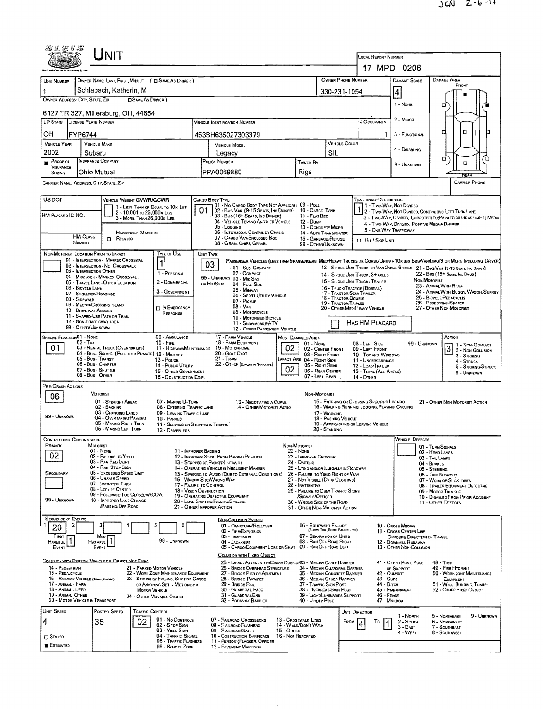|                                                           | UNIT                                                                                            |                                                                          |                                                                                                                                          |                                                                                                  |                                               |                                                                            |                                                                          |                                                                                    |                                                              |                                                                                                                              |  |  |  |  |
|-----------------------------------------------------------|-------------------------------------------------------------------------------------------------|--------------------------------------------------------------------------|------------------------------------------------------------------------------------------------------------------------------------------|--------------------------------------------------------------------------------------------------|-----------------------------------------------|----------------------------------------------------------------------------|--------------------------------------------------------------------------|------------------------------------------------------------------------------------|--------------------------------------------------------------|------------------------------------------------------------------------------------------------------------------------------|--|--|--|--|
|                                                           |                                                                                                 |                                                                          | LOCAL REPORT NUMBER<br>17 MPD 0206                                                                                                       |                                                                                                  |                                               |                                                                            |                                                                          |                                                                                    |                                                              |                                                                                                                              |  |  |  |  |
| UNIT NUMBER                                               | OWNER NAME: LAST, FIRST, MIDDLE ( C SAME AS DRIVER )                                            |                                                                          |                                                                                                                                          |                                                                                                  |                                               |                                                                            | OWNER PHONE NUMBER                                                       | DAMAGE SCALE                                                                       | <b>DAMAGE AREA</b>                                           |                                                                                                                              |  |  |  |  |
|                                                           | Schlabach, Katherin, M                                                                          |                                                                          |                                                                                                                                          |                                                                                                  |                                               | 330-231-1054                                                               |                                                                          | $\overline{4}$                                                                     | FRONT                                                        |                                                                                                                              |  |  |  |  |
| OWNER ADDRESS: CITY, STATE ZIP                            | <b>DSAME AS DRIVER</b> )                                                                        |                                                                          |                                                                                                                                          |                                                                                                  |                                               |                                                                            |                                                                          |                                                                                    | 1 - NONE                                                     | о                                                                                                                            |  |  |  |  |
|                                                           | 6127 TR 327, Millersburg, OH, 44654                                                             |                                                                          |                                                                                                                                          |                                                                                                  |                                               |                                                                            |                                                                          |                                                                                    |                                                              |                                                                                                                              |  |  |  |  |
| LP STATE LICENSE PLATE NUMBER                             |                                                                                                 |                                                                          |                                                                                                                                          | <b>VEHICLE IDENTIFICATION NUMBER</b>                                                             |                                               |                                                                            |                                                                          | # Occupants                                                                        | 2 - MINOR                                                    |                                                                                                                              |  |  |  |  |
| OН<br>FYP6744<br><b>VEHICLE YEAR</b>                      | <b>VEHICLE MAKE</b>                                                                             |                                                                          |                                                                                                                                          | 453BH635027303379                                                                                |                                               |                                                                            | VEHICLE COLOR                                                            | 1                                                                                  | 3 - FUNCTIONAL                                               | O<br>₫                                                                                                                       |  |  |  |  |
| 2002                                                      | Subaru                                                                                          |                                                                          |                                                                                                                                          | <b>VEHICLE MODEL</b><br>Legacy                                                                   |                                               |                                                                            | SIL                                                                      |                                                                                    | 4 - DISABLING                                                |                                                                                                                              |  |  |  |  |
| $P$ ROOF OF<br><b>INSURANCE</b>                           | <b>INSURANCE COMPANY</b>                                                                        |                                                                          | POLICY NUMBER<br>Towed By                                                                                                                |                                                                                                  |                                               |                                                                            |                                                                          |                                                                                    | 9 - UNKNOWN                                                  | □<br>ο<br>α                                                                                                                  |  |  |  |  |
| <b>SHOWN</b>                                              | Ohio Mutual                                                                                     |                                                                          |                                                                                                                                          | PPA0069880                                                                                       |                                               | Rigs                                                                       |                                                                          |                                                                                    |                                                              |                                                                                                                              |  |  |  |  |
| CARRIER NAME, ADDRESS, CITY, STATE, ZIP                   |                                                                                                 |                                                                          |                                                                                                                                          |                                                                                                  |                                               |                                                                            |                                                                          |                                                                                    |                                                              | <b>CARRIER PHONE</b>                                                                                                         |  |  |  |  |
| US DOT                                                    | <b>VEHICLE WEIGHT GVWR/GCWR</b>                                                                 |                                                                          | CARGO BOOY TYPE                                                                                                                          | 01 - No CARGO BODY TYPE/NOT APPLICABL 09 - POLE                                                  |                                               |                                                                            |                                                                          | TRAFFICWAY DESCRIPTION<br>1 - Two-Way, Not Divided                                 |                                                              |                                                                                                                              |  |  |  |  |
| HM PLACARD ID NO.                                         | 1 - LESS THAN OR EQUAL TO 10K LBS<br>2 - 10,001 To 26,000x Las<br>3 - MORE THAN 26,000K LBS.    |                                                                          | 01                                                                                                                                       | 02 - Busi Van (9-15 Seats, Inc Driver)<br>03 - Bus (16+ SEATS, INC DRIVER)                       |                                               | 10 - CARGO TANK<br>11 - FLAT BED                                           |                                                                          |                                                                                    |                                                              | 1 2 - Two-Way, NOT DIVIDED, CONTINUDUS LEFT TURN LANE<br>3 - Two-Way, Divided, UNPROTECTEO(PAINTED OR GRASS >4FT.) MEDIA     |  |  |  |  |
|                                                           |                                                                                                 |                                                                          |                                                                                                                                          | 04 - VEHICLE TOWING ANOTHER VEHICLE<br>05 - Logging                                              |                                               | 12 - Dump<br>13 - CONCRETE MIXER                                           |                                                                          | 5 - ONE-WAY TRAFFICWAY                                                             | 4 - Two-Way, Divided, Positive Median Barrier                |                                                                                                                              |  |  |  |  |
| <b>HM CLASS</b><br>NUMBER                                 | HAZARDOUS MATERIAL<br>RELATEO<br>α                                                              |                                                                          |                                                                                                                                          | 06 - INTERMODAL CONTAINER CHASIS<br>07 - CARGO VAN/ENCLOSEO BOX                                  |                                               | 14 - AUTO TRANSPORTER<br>15 - GARBAGE /REFUSE                              |                                                                          | <b>D</b> Hit / SkiP UNIT                                                           |                                                              |                                                                                                                              |  |  |  |  |
| NON-MOTORIST LOCATION PRIOR TO IMPACT                     |                                                                                                 | Type of Use                                                              | UNIT TYPE                                                                                                                                | 08 - GRAIN, CHIPS, GRAVEL                                                                        |                                               | 99 - OTHER/UNKNOWN                                                         |                                                                          |                                                                                    |                                                              |                                                                                                                              |  |  |  |  |
|                                                           | 01 - INTERSECTION - MARKEO CROSSWAL<br>02 - INTERSECTION - NO CROSSWALK                         | 1                                                                        | 03                                                                                                                                       | 01 - Sus COMPACT                                                                                 |                                               |                                                                            |                                                                          |                                                                                    |                                                              | PASSENGER VEHICLES (LESS THAN 9 PASSENGERS MEDIMEAVY TRUCKS OR COMBO UNITS > 10K LBS BUS/VAMLIMO(9 OR MORE INCLUDING DRIVER) |  |  |  |  |
| 03 - INTERSECTION OTHER                                   | 04 - MIDBLOCK - MARKED CROSSWALK                                                                | 1 - PERSONAL                                                             |                                                                                                                                          | 02 - COMPACT<br>99 - UNKNOWN 03 - MID SIZE                                                       |                                               |                                                                            |                                                                          | 14 - SINGLE UNIT THUCK: 3+ AXLES                                                   |                                                              | 13 - SINGLE UNIT TRUCK OR VAN ZAXLE, 6 TIRES 21 - BUS/VAN (9-15 SEATS, INC DRIVER)<br>22 - Bus (16+ Sears, Inc Daven)        |  |  |  |  |
| 06 - BICYCLE LANE                                         | 05 - TRAVEL LANE - OTHER LOCATION                                                               | 2 - COMMERCIAL<br>3 - GOVERNMENT                                         | ов Нл/Sке                                                                                                                                | 04 - Full Size<br>05 - MINIVAN                                                                   |                                               |                                                                            |                                                                          | 15 - SINGLE UNIT TRUCK / TRAILER<br>16 - TRUCK/TRACTOR (BOBTAIL)                   |                                                              | NON-MOTORIST<br>23 - ANIMAL WITH RIDER<br>24 - ANIMAL WITH BUGGY, WAGON, SURREY                                              |  |  |  |  |
| 08 - SIDEWALK                                             | 07 - Shoulder/Roadside                                                                          |                                                                          |                                                                                                                                          | 06 - SPORT UTILITY VEHICLE<br>07 - Pickup                                                        |                                               |                                                                            | 17 - TRACTOR/SEMI-TRAILER<br>18 - Tractor Double<br>19 - TRACTOR/TRIPLES |                                                                                    |                                                              | 25 - BICYCLE/PEOACYCLIST<br>26 - PEDESTRIAN/SKATER                                                                           |  |  |  |  |
| 10 - DRIVE WAY ACCESS                                     | 09 - MEDIAN/CROSSING ISLAND<br>11 - SHARED-USE PATH OR TRAIL                                    | <b>IT IN EMERGENCY</b><br>RESPONSE                                       |                                                                                                                                          | $08 - V_{AN}$<br>09 - MOTORCYCLE                                                                 |                                               |                                                                            |                                                                          | 20 - OTHER MEDIHEAVY VEHICLE                                                       |                                                              | 27 - OTHER NON-MOTORIST                                                                                                      |  |  |  |  |
| 99 - OTHER/UNKNOWN                                        | 12 - NON-TRAFFICWAY AREA                                                                        |                                                                          |                                                                                                                                          | 10 - Motorized Bicycle<br>11 - SNOWMOBRE/ATV                                                     |                                               |                                                                            | HAS HM PLACARD                                                           |                                                                                    |                                                              |                                                                                                                              |  |  |  |  |
| SPECIAL FUNCTION 01 - NONE                                |                                                                                                 | 09 - AMBULANCE                                                           |                                                                                                                                          | 12 - OTHER PASSENGER VEHICLE<br>17 - FARM VEHICLE                                                | <b>MOST DAMAGEO AREA</b>                      |                                                                            |                                                                          |                                                                                    |                                                              | ACTION                                                                                                                       |  |  |  |  |
| $02 - TAA1$<br>01                                         | 03 - RENTAL TRUCK (OVER 10K LBS)                                                                | $10 -$ Fire<br>11 - HIGHWAY/MAINTENANCE                                  | 18 - FARM EOUIPMENT<br>$01 - None$<br>02<br>19 - Мотояноме<br>02 - CENTER FRONT<br>20 - GOLF CART                                        |                                                                                                  |                                               |                                                                            |                                                                          | 08 - LEFT SIDE<br>09 - LEFT FRONT                                                  | 99 - Unknown                                                 | 1 - Non-CONTACT<br>3 2 - Non-Collision                                                                                       |  |  |  |  |
|                                                           | 04 - Bus - SCHOOL (PUBLIC OR PRIVATE) 12 - MILITARY<br>05 - Bus - Transit<br>06 - Bus - Charter | 13 - Pouce                                                               |                                                                                                                                          | 21 - Tran<br>22 - OTHER (EXPLANIN NARRATIVE)                                                     | 03 - RIGHT FRONT<br>MPACT ARE 04 - RIGHT SIDE |                                                                            | 10 - TOP AND WINDOWS<br>11 - UNOERCARRIAGE                               | 3 - STRIKING<br>4 - Struck                                                         |                                                              |                                                                                                                              |  |  |  |  |
|                                                           | 07 - Bus - SHUTTLE<br>08 - Bus - OTHER                                                          | 14 - PUBLIC UTILITY<br>15 - OTHER GOVERNMENT<br>16 - CONSTRUCTION EOIP.  | 05 - Right Rear<br>02<br>06 - REAR CENTER<br>07 - Left Rear                                                                              |                                                                                                  |                                               |                                                                            |                                                                          | 12 - LOAO/TRAILER<br>13 - TOTAL (ALL AREAS)<br>14 - OTHER                          |                                                              | 5 - STRIKING/STRUCK<br>9 - Unknown                                                                                           |  |  |  |  |
| PRE- CRASH ACTIONS                                        |                                                                                                 |                                                                          |                                                                                                                                          |                                                                                                  |                                               |                                                                            |                                                                          |                                                                                    |                                                              |                                                                                                                              |  |  |  |  |
| 06                                                        | <b>MOTORIST</b><br>01 - STRAIGHT AHEAO                                                          | 07 - MAKING U-TURN                                                       |                                                                                                                                          | 13 - NEGOTIATING A CURVE                                                                         |                                               | Non-MOTORIST                                                               |                                                                          | 15 - ENTERING OR CROSSING SPECIFIED LOCATIO                                        |                                                              |                                                                                                                              |  |  |  |  |
|                                                           | 02 - BACKING<br>03 - CHANGING LANES                                                             | 08 - ENTERING TRAFFIC LANE<br>09 - LEAVING TRAFFIC LANE                  |                                                                                                                                          | 14 - OTHER MOTORIST ACTIO                                                                        |                                               |                                                                            | 17 - WORKING                                                             | 21 - OTHER NON-MOTORIST ACTION<br>16 - WALKING, RUNNING, JOGGING, PLAYING, CYCLING |                                                              |                                                                                                                              |  |  |  |  |
| 99 - UNKNOWN                                              | 04 - OVERTAKING/PASSING<br>05 - MAKING RIGHT TURN                                               | 10 - PARKED<br>11 - SLOWING OR STOPPEO IN TRAFFIC                        |                                                                                                                                          |                                                                                                  |                                               |                                                                            | 18 - PUSHING VEHICLE                                                     | 19 - APPROACHING OR LEAVING VEHICLE                                                |                                                              |                                                                                                                              |  |  |  |  |
| <b>CONTRIBUTING CIRCUMSTANCE</b>                          | 06 - MAKING LEFT TURN                                                                           | 12 - DRIVERLESS                                                          |                                                                                                                                          |                                                                                                  |                                               |                                                                            | 20 - Standing                                                            |                                                                                    | VEHICLE DEFECTS                                              |                                                                                                                              |  |  |  |  |
| Primary                                                   | Motorist<br>$01 - None$                                                                         | 11 - IMPROPER BACKING                                                    |                                                                                                                                          |                                                                                                  | NON-MOTORIST<br>22 - NONE                     |                                                                            |                                                                          |                                                                                    |                                                              | 01 - TURN SIGNALS                                                                                                            |  |  |  |  |
| 02                                                        | 02 - FAILURE TO YIELD<br>03 - RAN RED LIGHT                                                     |                                                                          |                                                                                                                                          | 12 - IMPROPER START FROM PARKED POSITION<br>13 - Stopped or Parked Illegally                     |                                               | 23 - IMPROPER CROSSING<br>24 - DARTING                                     |                                                                          |                                                                                    |                                                              | 02 - HEAD LAMPS<br>03 - TAIL LAMPS                                                                                           |  |  |  |  |
| SECONDARY                                                 | 04 - RAN STOP SIGN<br>05 - Exceeped Speed Limit                                                 |                                                                          |                                                                                                                                          | 14 - OPERATING VEHICLE IN NEGLIGENT MANNER<br>15 - SWERING TO AVOID (DUE TO EXTERNAL CONDITIONS) |                                               | 25 - LYING AND/OR LLEGALLY IN ROADWAY<br>26 - FALURE TO YIELD RIGHT OF WAY |                                                                          |                                                                                    | 04 - BRAKES<br>05 - STEERING<br>06 - TIRE BLOWOUT            |                                                                                                                              |  |  |  |  |
|                                                           | 06 - UNSAFE SPEED<br>07 - IMPROPER TURN                                                         | 17 - FALURE TO CONTROL                                                   |                                                                                                                                          | 16 - WRONG SIDE/WRONG WAY                                                                        |                                               | 27 - NOT VISIBLE (DARK CLOTHING)<br>28 - INATTENTIVE                       |                                                                          |                                                                                    | 07 - WORN OR SLICK TIRES<br>08 - TRAILER EQUIPMENT DEFECTIVE |                                                                                                                              |  |  |  |  |
| 99 - UNKNOWN                                              | 08 - LEFT DF CENTER<br>09 - FOLLOWED TOO CLOSELY/ACDA<br>10 - IMPROPER LANE CHANGE              | 18 - VISION OBSTRUCTION                                                  |                                                                                                                                          | 19 - OPERATING DEFECTIVE EQUIPMENT                                                               |                                               | 29 - FAILURE TO OBEY TRAFFIC SIGNS<br>/SIGNALS/OFFICER                     |                                                                          |                                                                                    | 09 - Motor Trouble<br>10 - DISABLEO FROM PRIOR ACCIDENT      |                                                                                                                              |  |  |  |  |
|                                                           | <b>/PASSING/OFF ROAD</b>                                                                        | 21 - OTHER IMPROPER ACTION                                               |                                                                                                                                          | 20 - LOAD SHIFTINO/FALLING/SPILLING                                                              |                                               | 30 - WRONG SIDE OF THE ROAD<br>31 - OTHER NON-MOTORIST ACTION              |                                                                          |                                                                                    | 11 - OTHER DEFECTS                                           |                                                                                                                              |  |  |  |  |
| <b>SEQUENCE OF EVENTS</b><br>2                            |                                                                                                 | 6                                                                        |                                                                                                                                          | <b>NON-COLLISION EVENTS</b><br>01 - OVERTURN/ROLLOVER                                            |                                               | 06 - EQUIPMENT FAILURE                                                     |                                                                          |                                                                                    |                                                              |                                                                                                                              |  |  |  |  |
| 20<br>FIRST                                               | Most                                                                                            |                                                                          |                                                                                                                                          | 02 - FIRE/EXPLOSION<br>03 - IMMERSION                                                            |                                               | 07 - SEPARATION OF UNITS                                                   | (BLOWN TIRE, BARKE FAILURE, ETC)                                         | 10 - Cross Median<br>11 - CROSS CENTER LINE<br>OPPOSITE DIRECTION OF TRAVEL        |                                                              |                                                                                                                              |  |  |  |  |
| HARMFUL<br>EVENT                                          | <b>HARMFUL</b><br>EVENT                                                                         | 99 - UNKNOWN                                                             |                                                                                                                                          | 04 - Jackknife<br>05 - CARGO/EQUIPMENT LOSS OR SHIFT 09 - RAN OFF ROAD LEFT                      |                                               | 08 - RAN OFF ROAD RIGHT                                                    |                                                                          |                                                                                    | 12 - DOWNHILL RUNAWAY<br>13 - OTHER NON-COLLISION            |                                                                                                                              |  |  |  |  |
|                                                           | COLLISION WITH PERSON, VEHICLE OR OBJECT NOT FIXED                                              |                                                                          |                                                                                                                                          | COLLISION WITH FIXED, OBJECT<br>25 - IMPACT ATTENUATOR/CRASH CUSHION33 - MEDIAN CABLE BARRIER    |                                               |                                                                            |                                                                          |                                                                                    | 41 - OTHER POST, POLE                                        | $48 - These$                                                                                                                 |  |  |  |  |
| 14 - PEOESTRIAN<br>15 - PEDALCYCLE                        |                                                                                                 | 21 - PARKED MOTOR VEHICLE<br>22 - WORK ZONE MAINTENANCE EQUIPMENT        |                                                                                                                                          | 26 - BRIOGE OVERHEAD STRUCTURE<br>27 - BROGE PIER OR ABUTMENT                                    |                                               | 34 - MEDIAN GUARDRAIL BARRIER<br>35 - MEDIAN CONCRETE BARRIER              |                                                                          | 42 - CULVERT                                                                       | OR SUPPORT                                                   | 49 - FIRE HYDRANT<br>50 - WORK ZONE MAINTENANCE                                                                              |  |  |  |  |
| 16 - RAILWAY VEHICLE (TRAN, ENGINE)<br>17 - Animal - Farm |                                                                                                 | 23 - STRUCK BY FALLING, SHIFTING CARGO<br>OR ANYTHING SET IN MOTION BY A |                                                                                                                                          | 28 - BRIDGE PARAPET<br>29 - BRIDGE RAIL                                                          |                                               | 36 - MEDIAN OTHER BARRIER<br>37 - TRAFFIC SIGN POST                        |                                                                          | EQUIPMENT<br>51 - WALL, BUILDING, TUNNEL                                           |                                                              |                                                                                                                              |  |  |  |  |
| 18 - Animal - Deer<br>19 - ANIMAL OTHER                   | MOTOR VEHICLE                                                                                   | 24 - OTHER MOVABLE OBJECT                                                |                                                                                                                                          | 30 - GUARDRAIL FACE<br>31 - GUARDRAILEND                                                         |                                               | 38 - OVERHEAD SIGN POST<br>39 - LIGHT/LUMINARIES SUPPORT                   |                                                                          | 46 - FENCE                                                                         | 44 - Опен<br>45 - EMBANKMENT<br>52 - OTHER FIXED OBJECT      |                                                                                                                              |  |  |  |  |
| 20 - MOTOR VEHICLE IN TRANSPORT<br>UNIT SPEED             | POSTED SPEED<br><b>TRAFFIC CONTROL</b>                                                          |                                                                          |                                                                                                                                          | 32 - PORTABLE BARRIER                                                                            |                                               | 40 - UTILITY POLE                                                          |                                                                          | 47 - MAILBOX<br>UNIT DIRECTION                                                     |                                                              |                                                                                                                              |  |  |  |  |
| 4                                                         | 35<br>02                                                                                        | 01 - No CONTROLS                                                         |                                                                                                                                          | 07 - RAILROAD CROSSBUCKS                                                                         | 13 - Crosswalk Lines                          |                                                                            | FROM                                                                     | To                                                                                 | 1 - North<br>2 - South                                       | 5 - Northeast<br>9 - UNKNOWN<br>6 - NORTHWEST                                                                                |  |  |  |  |
| <b>CI STATEO</b>                                          |                                                                                                 | $02 - S$ TOP $S$ IGN<br>03 - YIELD SIGN<br>04 - TRAFFIC SIGNAL           | 08 - RAILROAD FLASHERS<br>14 - Walk/Don't Walk<br>09 - RALROAD GATES<br>$15 - O$ THER<br>10 - COSTRUCTION BARRICADE<br>16 - Not Reported |                                                                                                  |                                               |                                                                            |                                                                          |                                                                                    | $3 - EAST$<br>4 - West                                       | 7 - SOUTHEAST<br>8 - SOUTHWEST                                                                                               |  |  |  |  |
| <b>ESTIMATED</b>                                          |                                                                                                 | 05 - TRAFFIC FLASHERS<br>06 - SCHOOL ZONE                                |                                                                                                                                          | 11 - PERSON (FLAGGER, OFFICER<br><b>12 - PAVEMENT MARKINGS</b>                                   |                                               |                                                                            |                                                                          |                                                                                    |                                                              |                                                                                                                              |  |  |  |  |
|                                                           |                                                                                                 |                                                                          |                                                                                                                                          |                                                                                                  |                                               |                                                                            |                                                                          |                                                                                    |                                                              |                                                                                                                              |  |  |  |  |

 $\sim 10^6$ 

 $\label{eq:2.1} \frac{1}{\sqrt{2}}\int_{\mathbb{R}^3}\frac{1}{\sqrt{2}}\left(\frac{1}{\sqrt{2}}\right)^2\left(\frac{1}{\sqrt{2}}\right)^2\left(\frac{1}{\sqrt{2}}\right)^2\left(\frac{1}{\sqrt{2}}\right)^2\left(\frac{1}{\sqrt{2}}\right)^2\left(\frac{1}{\sqrt{2}}\right)^2.$ 

 $\sim 10^{-11}$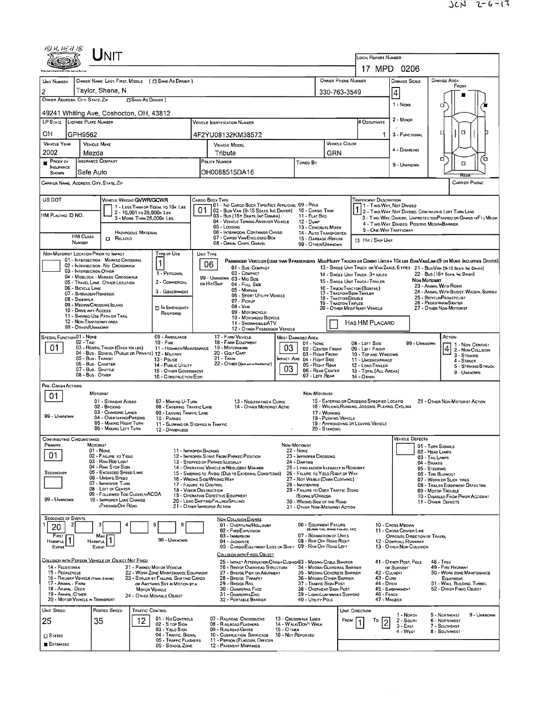| 彻风に牙部                                                                                                                                                                       |                                                              | ${\sf U}_{\sf NIT}$                                                         |                                                         |                                                       |                                                                                                                                                            |                                                                                                                   |                                                        |                                                                                                                                                |                                                                |                                                                         |                                                                                                                                                                           |                                                                                                                           |                                    |                                                                                                                               |  |  |  |
|-----------------------------------------------------------------------------------------------------------------------------------------------------------------------------|--------------------------------------------------------------|-----------------------------------------------------------------------------|---------------------------------------------------------|-------------------------------------------------------|------------------------------------------------------------------------------------------------------------------------------------------------------------|-------------------------------------------------------------------------------------------------------------------|--------------------------------------------------------|------------------------------------------------------------------------------------------------------------------------------------------------|----------------------------------------------------------------|-------------------------------------------------------------------------|---------------------------------------------------------------------------------------------------------------------------------------------------------------------------|---------------------------------------------------------------------------------------------------------------------------|------------------------------------|-------------------------------------------------------------------------------------------------------------------------------|--|--|--|
|                                                                                                                                                                             |                                                              |                                                                             |                                                         |                                                       |                                                                                                                                                            |                                                                                                                   |                                                        |                                                                                                                                                | LOCAL REPORT NUMBER<br>17 MPD 0206                             |                                                                         |                                                                                                                                                                           |                                                                                                                           |                                    |                                                                                                                               |  |  |  |
|                                                                                                                                                                             |                                                              |                                                                             |                                                         |                                                       |                                                                                                                                                            | OWNER PHONE NUMBER                                                                                                |                                                        |                                                                                                                                                |                                                                |                                                                         |                                                                                                                                                                           | DAMAGE AREA<br>DAMAGE SCALE                                                                                               |                                    |                                                                                                                               |  |  |  |
| UNIT NUMBER<br>2                                                                                                                                                            |                                                              | Taylor, Shana, N                                                            |                                                         | OWNER NAME: LAST, FIRST, MIDDLE ( C SAME AS DRIVER )  |                                                                                                                                                            |                                                                                                                   |                                                        |                                                                                                                                                |                                                                | 330-763-3549                                                            |                                                                                                                                                                           |                                                                                                                           |                                    | FRONT                                                                                                                         |  |  |  |
| OWNER ADDRESS: CITY, STATE, ZIP                                                                                                                                             |                                                              |                                                                             | <b>CISAME AS DRIVER 1</b>                               |                                                       |                                                                                                                                                            |                                                                                                                   |                                                        |                                                                                                                                                |                                                                |                                                                         |                                                                                                                                                                           | 4                                                                                                                         |                                    |                                                                                                                               |  |  |  |
| 49241 Whiting Ave, Coshocton, OH, 43812                                                                                                                                     |                                                              |                                                                             |                                                         |                                                       |                                                                                                                                                            |                                                                                                                   |                                                        |                                                                                                                                                |                                                                |                                                                         |                                                                                                                                                                           | 1 - NONE                                                                                                                  | σ                                  |                                                                                                                               |  |  |  |
| LP STATE LICENSE PLATE NUMBER                                                                                                                                               |                                                              |                                                                             |                                                         |                                                       |                                                                                                                                                            | VEHICLE IDENTIFICATION NUMBER                                                                                     |                                                        |                                                                                                                                                |                                                                |                                                                         | # Occupants                                                                                                                                                               | 2 MINOR                                                                                                                   |                                    |                                                                                                                               |  |  |  |
| OН                                                                                                                                                                          | GPH9562                                                      |                                                                             |                                                         |                                                       |                                                                                                                                                            | 4F2YU08132KM38572                                                                                                 |                                                        |                                                                                                                                                |                                                                |                                                                         | 1                                                                                                                                                                         | 3 FUNCTIONAL                                                                                                              | O                                  |                                                                                                                               |  |  |  |
| <b>VEHICLE YEAR</b>                                                                                                                                                         | <b>VEHICLE MAKE</b>                                          |                                                                             |                                                         |                                                       |                                                                                                                                                            | <b>VEHICLE MODEL</b>                                                                                              |                                                        |                                                                                                                                                | GRN                                                            | <b>VEHICLE COLOR</b>                                                    |                                                                                                                                                                           | 4 - DISABLING                                                                                                             |                                    |                                                                                                                               |  |  |  |
| 2002<br>$P$ ROOF OF                                                                                                                                                         | Mazda<br><b>INSURANCE COMPANY</b>                            |                                                                             |                                                         |                                                       | Tribute<br>POLICY NUMBER                                                                                                                                   |                                                                                                                   |                                                        |                                                                                                                                                |                                                                |                                                                         |                                                                                                                                                                           |                                                                                                                           | O                                  | п                                                                                                                             |  |  |  |
| <b>INSURANCE</b><br>SHOWN                                                                                                                                                   | Safe Auto                                                    |                                                                             |                                                         |                                                       | Toweo By<br>OH0088515DA16                                                                                                                                  |                                                                                                                   |                                                        |                                                                                                                                                |                                                                |                                                                         |                                                                                                                                                                           | 9 - Unknown                                                                                                               |                                    | $\Box$                                                                                                                        |  |  |  |
| CARRIER NAME, ADDRESS, CITY, STATE, ZIP                                                                                                                                     |                                                              |                                                                             |                                                         |                                                       |                                                                                                                                                            |                                                                                                                   |                                                        |                                                                                                                                                |                                                                |                                                                         |                                                                                                                                                                           |                                                                                                                           |                                    | RFA<br><b>CARRIER PHONE</b>                                                                                                   |  |  |  |
|                                                                                                                                                                             |                                                              |                                                                             |                                                         |                                                       |                                                                                                                                                            |                                                                                                                   |                                                        |                                                                                                                                                |                                                                |                                                                         |                                                                                                                                                                           |                                                                                                                           |                                    |                                                                                                                               |  |  |  |
| US DOT                                                                                                                                                                      |                                                              | VEHICLE WEIGHT GVWFVGCWR                                                    |                                                         | 1 - LESS THAN OR EQUAL TO 10K LBS                     |                                                                                                                                                            | CARGO BODY TYPE<br>01 - No CARGO BOOY TYPE/NDT APPLICABL 09 - POLE                                                |                                                        |                                                                                                                                                |                                                                |                                                                         | <b>TRAFFICWAY DESCRIPTION</b><br>1 - Two-Way, Not Divideo                                                                                                                 |                                                                                                                           |                                    |                                                                                                                               |  |  |  |
| HM PLACARO ID NO.                                                                                                                                                           |                                                              |                                                                             | 2 - 10,001 to 26,000k Las<br>3 - MORE THAN 26,000K LBS. |                                                       | 01                                                                                                                                                         | 02 - Busi Van (9-15 Seats, Inc Driver)<br>03 - Bus (16+ Seats, Inc Driver)<br>04 - VEHICLE TOWING ANOTHER VEHICLE |                                                        | 10 - Cargo Tank<br>11 - FLAT BED                                                                                                               |                                                                |                                                                         |                                                                                                                                                                           | 1 2 - Two-Way, NOT DIVIDED, CONTINUOUS LEFT TURN LANE<br>3 - Two WAY, Divideo, UNPROTECTEO(PAINTEO OR GRASS > 4FT.) MEDIA |                                    |                                                                                                                               |  |  |  |
|                                                                                                                                                                             |                                                              |                                                                             | HAZAROOUS MATERIAL                                      |                                                       |                                                                                                                                                            | 05 - Logging<br>06 - INTERMODAL CONTAINER CHASIS                                                                  |                                                        | 12 - Dump<br>13 - CONCRETE MIXER<br>14 - AUTO THANSPORTER                                                                                      |                                                                |                                                                         | 5 - ONE-WAY TRAFFICWAY                                                                                                                                                    | 4 - Two-Way, Divideo, Positive Median BARRIER                                                                             |                                    |                                                                                                                               |  |  |  |
|                                                                                                                                                                             | <b>HM Cuss</b><br><b>NUMBER</b>                              | $\Box$ Related                                                              |                                                         |                                                       |                                                                                                                                                            | 07 - CARGO VAN ENCLOSED BOX<br>08 - GRAIN, CHIPS, GRAVEL                                                          |                                                        | 15 - GARBAGE / REFUSE<br>99 - OTHER/UNKNOWN                                                                                                    |                                                                |                                                                         | <b>CI Hit / SKIP UNIT</b>                                                                                                                                                 |                                                                                                                           |                                    |                                                                                                                               |  |  |  |
| NON-MOTORIST LOCATION PRIOR TO IMPACT                                                                                                                                       |                                                              |                                                                             |                                                         | <b>TYPE OF USE</b>                                    | UNIT TYPE                                                                                                                                                  |                                                                                                                   |                                                        |                                                                                                                                                |                                                                |                                                                         |                                                                                                                                                                           |                                                                                                                           |                                    |                                                                                                                               |  |  |  |
|                                                                                                                                                                             |                                                              | 01 - INTERSECTION - MARKED CROSSWAL<br>02 - INTERSECTION - NO CROSSWALK     |                                                         |                                                       |                                                                                                                                                            | 06<br>01 - Sub-Compact                                                                                            |                                                        |                                                                                                                                                |                                                                |                                                                         |                                                                                                                                                                           |                                                                                                                           |                                    | PASSENGER VEHICLES (LESS THAN 9 PASSENGERS MEDIMEAVY TRUCKS OR COMBO UNITS > 10KLBS BUS/VAN/LIMO (9 OR MORE INCLUDING DRIVER) |  |  |  |
|                                                                                                                                                                             | 03 - INTERSECTION OTHER                                      | 04 - MIDBLOCK - MARKED CROSSWALK                                            |                                                         | 1 - PERSONAL                                          |                                                                                                                                                            | 02 - COMPACT<br>99 - UNKNOWN 03 - MIO SIZE                                                                        |                                                        |                                                                                                                                                |                                                                |                                                                         | 13 - SINGLE UNIT TRUCK OR VAN ZAXLE, 6 TIRES 21 - BUS/VAN (9-15 SEATS, INC DAVER)<br>22 - Bus (16+ Sears, Inc Dever)<br>14 - SINGLE UNIT TRUCK ; 3+ AXLES<br>Non-Mororusy |                                                                                                                           |                                    |                                                                                                                               |  |  |  |
|                                                                                                                                                                             | 06 - BICYCLE LANE                                            | 05 - TRAVEL LANE - OTHER LOCATION                                           |                                                         | 2 - COMMERCIAL<br>3 - GOVERNMENT                      |                                                                                                                                                            | or Hit/Skip<br>04 - Futt Size<br>05 - MINIVAN                                                                     |                                                        |                                                                                                                                                |                                                                |                                                                         | 15 - SINGLE UNIT TRUCK / TRAILER<br>16 - TRUCK/TRACTOR (BOBTAL)                                                                                                           |                                                                                                                           | 23 - ANIMAL WITH RIDER             | 24 - ANIMAL WITH BUGGY, WAGON, SURREY                                                                                         |  |  |  |
|                                                                                                                                                                             | 07 - SHOULDER/ROADSIDE<br>08 - SIDEWALK                      |                                                                             |                                                         |                                                       |                                                                                                                                                            | 06 - SPORT UTILITY VEHICLE<br>07 - Pickup                                                                         |                                                        |                                                                                                                                                |                                                                | 17 - TRACTOR/SEMI-TRAILER<br>18 - TRACTOR/DOUBLE<br>19 - TRACTOR/TRPLES |                                                                                                                                                                           | 25 - BICYCLE/PEGACYCLIST<br>26 - PEDESTRIAN/SKATER                                                                        |                                    |                                                                                                                               |  |  |  |
|                                                                                                                                                                             | 10 - DRIVE WAY ACCESS                                        | 09 - MEOPAN CROSSING ISLANO<br>11 - SHAREO-USE PATH OR TRAIL                |                                                         | <b>DIN EMERGENCY</b><br>RESPONSE                      | $08 - V_{AN}$<br>09 - Morgreycle                                                                                                                           |                                                                                                                   |                                                        |                                                                                                                                                |                                                                |                                                                         | 20 - OTHER MEDIHEAVY VEHICLE                                                                                                                                              |                                                                                                                           | 27 - OTHER NON-MOTORIST            |                                                                                                                               |  |  |  |
|                                                                                                                                                                             | 12 - NON-TRAFFICWAY AREA<br>99 - OTHER/UNKNOWN               |                                                                             |                                                         |                                                       |                                                                                                                                                            | 10 - Motorizeo Bicycle<br>11 - SNOWMOBLE/ATV                                                                      |                                                        |                                                                                                                                                | HAS HM PLACARD                                                 |                                                                         |                                                                                                                                                                           |                                                                                                                           |                                    |                                                                                                                               |  |  |  |
| SPECIAL FUNCTION 01 - NONE                                                                                                                                                  |                                                              |                                                                             |                                                         | 09 - AMBULANCE                                        | 12 - OTHER PASSENGER VEHICLE<br>17 - FARM VEHICLE<br>MOST DAMAGEO AREA                                                                                     |                                                                                                                   |                                                        |                                                                                                                                                |                                                                |                                                                         |                                                                                                                                                                           |                                                                                                                           |                                    | Астюн                                                                                                                         |  |  |  |
| 01                                                                                                                                                                          | $02 - TAXI$                                                  | 03 - RENTAL TRUCK (OVER 10K LBS)                                            |                                                         | $10 - F$ ine<br>11 - HIGHWAY/MAINTENANCE              | 18 - FARM EQUIPMENT<br>$01 - None$<br>19 - Мотовноме<br>03<br>02 - CENTER FRONT                                                                            |                                                                                                                   |                                                        |                                                                                                                                                |                                                                |                                                                         | 08 - LEFT SIDE<br>99 - UNKNOWN<br>1 - Non-Contact<br>09 - LEFT FRONT<br>2 - Non-Counsion                                                                                  |                                                                                                                           |                                    |                                                                                                                               |  |  |  |
|                                                                                                                                                                             | 05 - Bus . Transit                                           | 04 - Bus - SCHOOL (PUBLIC OR PRIVATE) 12 - MILITARY                         |                                                         | 13 - Pouce                                            |                                                                                                                                                            | 20 - GOLF CART<br>21 - Train                                                                                      |                                                        | MPACT ARE 04 - RIGHT SIDE                                                                                                                      | 03 - Right Front<br>10 - TOP AND WINDOWS<br>11 - UNOERCARRIAGE |                                                                         |                                                                                                                                                                           |                                                                                                                           |                                    | 3 - STRIKING<br>4 - STRUCK                                                                                                    |  |  |  |
|                                                                                                                                                                             | 06 - Bus / CHARTER<br>07 - Bus - Shurrue<br>08 - Bus - OTHER |                                                                             |                                                         | 14 - Pusuc UTILITY<br>15 - OTHER GOVERNMENT           | 22 - OTHER (EXPLAN IN NARRATIVE)<br>05 - Right Rear<br>03<br>06 - REAR CENTER<br>07 - LEFT REAR                                                            |                                                                                                                   |                                                        |                                                                                                                                                |                                                                |                                                                         | 12 - LOAD/TRAKER<br>5 - STRIKWG/STRUCK<br>13 - TOTAL (ALL AREAS)<br>9 - UNKNOWN                                                                                           |                                                                                                                           |                                    |                                                                                                                               |  |  |  |
| PRE- CRASH ACTIONS                                                                                                                                                          |                                                              |                                                                             |                                                         | 16 - CONSTRUCTION EOIP.                               |                                                                                                                                                            |                                                                                                                   |                                                        |                                                                                                                                                |                                                                |                                                                         | <b>14 - OTHER</b>                                                                                                                                                         |                                                                                                                           |                                    |                                                                                                                               |  |  |  |
| 01                                                                                                                                                                          |                                                              | MOTORIST                                                                    |                                                         |                                                       |                                                                                                                                                            |                                                                                                                   |                                                        | NON-MOTORIST                                                                                                                                   |                                                                |                                                                         |                                                                                                                                                                           |                                                                                                                           |                                    |                                                                                                                               |  |  |  |
|                                                                                                                                                                             |                                                              | 01 - STRAIGHT AHEAD<br>02 - BACKING                                         |                                                         | 07 - MAKING U-TURN<br>08 - ENTERNG TRAFFIC LANE       |                                                                                                                                                            | 13 - NEGOTIATING A CURVE<br>14 - OTHER MOTORIST ACTIO                                                             |                                                        |                                                                                                                                                |                                                                |                                                                         | 15 - ENTERING OR CROSSING SPECIFIED LOCATIO<br>21 - OTHER NON-MOTORIST ACTION<br>16 - WALKING, RUNNING, JOGGING, PLAYING, CYCLING                                         |                                                                                                                           |                                    |                                                                                                                               |  |  |  |
| 99 - UNKNOWN                                                                                                                                                                |                                                              | 03 - CHANGING LANES<br>04 - OVERTAKING/PASSING<br>05 - MAKING RIGHT TURN    |                                                         | 09 - LEAVING TRAFFIC LANE<br>10 - PARKED              |                                                                                                                                                            |                                                                                                                   |                                                        | 17 WORKING<br>18 - PUSHING VEHICLE<br>19 - APPROACHING OR LEAVING VEHICLE                                                                      |                                                                |                                                                         |                                                                                                                                                                           |                                                                                                                           |                                    |                                                                                                                               |  |  |  |
|                                                                                                                                                                             |                                                              | 06 - MAKING LEFT TURN                                                       |                                                         | 11 - SLOWING OR STOPPED IN TRAFFIC<br>12 - DRIVERLESS |                                                                                                                                                            |                                                                                                                   |                                                        |                                                                                                                                                | 20 - STANDING                                                  |                                                                         |                                                                                                                                                                           |                                                                                                                           |                                    |                                                                                                                               |  |  |  |
| <b>CONTRIBUTING CIRCUMSTANCE</b><br>Primary                                                                                                                                 | MOTORIST                                                     |                                                                             |                                                         |                                                       |                                                                                                                                                            |                                                                                                                   | Non-Moronist                                           |                                                                                                                                                |                                                                |                                                                         |                                                                                                                                                                           | VEHICLE DEFECTS                                                                                                           | 01 - TURN SIGNALS                  |                                                                                                                               |  |  |  |
| 01                                                                                                                                                                          |                                                              | $01 - None$<br>02 - FAILURE TO YIELD                                        |                                                         | 11 - IMPROPER BACKING                                 |                                                                                                                                                            | 12 - IMPROPER START FROM PARKED POSITION                                                                          |                                                        | 22 - None<br>23 - IMPROPER CROSSING                                                                                                            |                                                                |                                                                         |                                                                                                                                                                           |                                                                                                                           | 02 - HEAD LAMPS<br>03 - Tail Lamps |                                                                                                                               |  |  |  |
|                                                                                                                                                                             |                                                              | 03 - RAN RED LIGHT<br>04 - RAN STOP SIGN                                    |                                                         |                                                       |                                                                                                                                                            | 13 - STOPPEO OR PARKEO ILLEGALLY<br>14 - OPERATING VEHICLE IN NEGLIGENT MANNER                                    | 24 - DARTING<br>25 - LYING ANO/OR ILLEGALLY IN ROADWAY |                                                                                                                                                | 04 - BRAKES<br>05 - Steering                                   |                                                                         |                                                                                                                                                                           |                                                                                                                           |                                    |                                                                                                                               |  |  |  |
| SECONDARY                                                                                                                                                                   |                                                              | 05 - Exceeded Speed Limit<br>06 - Unsafe Speep                              |                                                         |                                                       |                                                                                                                                                            | 15 - SWERING TO AVOID (DUE TO EXTERNAL CONDITIONS)<br>16 - WRONG SIDE/WRONG WAY                                   |                                                        | 26 - FALURE TO YIELD RIGHT OF WAY<br>27 - Not Visible (DARK CLOTHING)                                                                          |                                                                |                                                                         |                                                                                                                                                                           | 06 - TIRE BLOWDUT<br>07 - WORN OR SLICK TIRES                                                                             |                                    |                                                                                                                               |  |  |  |
|                                                                                                                                                                             |                                                              | 07 - IMPROPER TURN<br>08 - LEFT OF CENTER<br>09 - FOLLOWEO TOO CLOSELY/ACDA |                                                         |                                                       | 17 - FALURE TO CONTROL<br>28 - INATTENTIVE<br>18 - VISION OBSTRUCTION<br>29 - FAILURE TO OBEY TRAFFIC SIGNS                                                |                                                                                                                   |                                                        |                                                                                                                                                |                                                                |                                                                         |                                                                                                                                                                           |                                                                                                                           | 09 - Motor Trouble                 | 08 - TRALER EQUIPMENT DEFECTIVE                                                                                               |  |  |  |
| 99 - UNKNOWN                                                                                                                                                                |                                                              | 10 - IMPROPER LANE CHANGE<br><b>/PASSING/OFF ROAD</b>                       |                                                         |                                                       | 19 - OPERATING DEFECTIVE EQUIPMENT<br>/SIGNALS/OFFICER<br>20 - LOAO SHIFTING/FALLING/SPILLING<br>30 - WRONG SIDE OF THE ROAD<br>21 - OTHER IMPROPER ACTION |                                                                                                                   |                                                        |                                                                                                                                                |                                                                |                                                                         | 10 - DISABLED FROM PRIOR ACCIDENT<br>11 - OTHER DEFECTS                                                                                                                   |                                                                                                                           |                                    |                                                                                                                               |  |  |  |
| SEQUENCE OF EVENTS                                                                                                                                                          |                                                              |                                                                             |                                                         |                                                       |                                                                                                                                                            |                                                                                                                   |                                                        | 31 - OTHER NON-MOTORIST ACTION                                                                                                                 |                                                                |                                                                         |                                                                                                                                                                           |                                                                                                                           |                                    |                                                                                                                               |  |  |  |
| 20                                                                                                                                                                          |                                                              |                                                                             |                                                         | 6                                                     |                                                                                                                                                            | NON-COLLISION EVENTS<br>01 - OVERTURN/ROLLOVER                                                                    |                                                        | 06 - EQUIPMENT FAILURE                                                                                                                         | (BLOWN TIRE, BRAKE FAILURE, ETC)                               |                                                                         |                                                                                                                                                                           | 10 - Cross Meoran                                                                                                         |                                    |                                                                                                                               |  |  |  |
| FIRST                                                                                                                                                                       | <b>HARMFUL</b>                                               | Mast                                                                        |                                                         | 99 - Unknown                                          |                                                                                                                                                            | 02 - FIRE/EXPLOSION<br>03 - IMMERSION<br>04 - JACKKNIFE                                                           |                                                        | 07 - SEPARATION OF UNITS<br>08 - RAN OFF ROAD RIGHT                                                                                            |                                                                |                                                                         | 11 - CROSS CENTER LINE<br>OPPOSITE DIRECTION OF TRAVEL<br>12 - DOWNHILL RUNAWAY                                                                                           |                                                                                                                           |                                    |                                                                                                                               |  |  |  |
| <b>HARMFUL</b><br>EVENT                                                                                                                                                     | EVENT                                                        |                                                                             |                                                         |                                                       |                                                                                                                                                            | 05 - CARGO/EQUIPMENT LOSS OR SHIPT 09 - RAN OFF ROAD LEFT                                                         |                                                        |                                                                                                                                                |                                                                |                                                                         |                                                                                                                                                                           | 13 - OTHER NDN-COLUSION                                                                                                   |                                    |                                                                                                                               |  |  |  |
| COLLISION WITH PERSON, VEHICLE OR OBJECT NOT FIXED                                                                                                                          |                                                              |                                                                             |                                                         |                                                       |                                                                                                                                                            | COLLISION WITH FIXED, OBJECT<br>25 - IMPACT ATTENUATOR/CRASH CUSHION33 - MEDIAN CABLE BARRIER                     |                                                        |                                                                                                                                                |                                                                |                                                                         |                                                                                                                                                                           | 41 - OTHER POST, POLE                                                                                                     | $48 - T$ REE                       |                                                                                                                               |  |  |  |
| 14 - PEDESTRIAN<br>21 - PARKEO MOTOR VEHICLE<br>15 - PEDALCYCLE<br>22 - WORK ZONE MAINTENANCE EQUIPMENT                                                                     |                                                              |                                                                             |                                                         |                                                       |                                                                                                                                                            | 26 BRIDGE OVERHEAD STRUCTURE<br>27 - BRIDGE PIER OR ABUTMENT                                                      |                                                        | 49 - FIRE HYDRANT<br>34 - Megian Guardrail Barrier<br>OR SUPPORT<br>42 - CULVERT<br>50 - WORK ZONE MAINTENANCE<br>35 - MEDIAN CONCRETE BARRIER |                                                                |                                                                         |                                                                                                                                                                           |                                                                                                                           |                                    |                                                                                                                               |  |  |  |
| 16 - RAILWAY VEHICLE (TRAN, EMSINE)<br>23 - STRUCK BY FALLING, SHIFTING CARGO<br>17 - Animal - Farm<br>OR ANYTHING SET IN MOTION BY A<br>18 - Anmal - Deer<br>MOTOR VEHICLE |                                                              |                                                                             |                                                         |                                                       |                                                                                                                                                            | 28 BRIDGE PARAPET<br>29 - BRIDGE RAIL                                                                             |                                                        | 36 - Median Other Barrier<br>37 - TRAFFIC SIGN POST<br>38 - OVERHEAD SIGN POST                                                                 |                                                                |                                                                         | 43 - Curs<br>44 - Dirch<br>45 - EMBANKMENT                                                                                                                                | EQUIPMENT<br>51 - WALL BUILDING, TUNNEL<br>52 - OTHER FIXED OBJECT                                                        |                                    |                                                                                                                               |  |  |  |
| 19 - ANIMAL OTHER<br>20 - MOTDR VEHICLE IN TRANSPORT                                                                                                                        |                                                              |                                                                             |                                                         | 24 - OTHER MOVABLE OBJECT                             | <b>30 - GUARORAIL FACE</b><br>31 - GUARDRAILEND<br>39 - LIGHT/LUMINARIES SUPPORT<br>32 - PORTABLE BARRIER<br>40 - Utruty Pole                              |                                                                                                                   |                                                        |                                                                                                                                                |                                                                |                                                                         |                                                                                                                                                                           |                                                                                                                           |                                    |                                                                                                                               |  |  |  |
| UNIT SPEED                                                                                                                                                                  |                                                              | POSTED SPEED                                                                | TRAFFIC CONTROL                                         |                                                       |                                                                                                                                                            |                                                                                                                   |                                                        |                                                                                                                                                |                                                                | <b>UNIT DIRECTION</b>                                                   | 47 - MAILBOX                                                                                                                                                              |                                                                                                                           |                                    |                                                                                                                               |  |  |  |
| 25                                                                                                                                                                          |                                                              | 35                                                                          | 12                                                      | 01 - No CONTROLS<br>02 - S TOP SIGN                   |                                                                                                                                                            | 07 - RALROAD CROSSBUCKS<br>08 - RAILROAD FLASHERS                                                                 |                                                        | 13 - Crosswalk Lines<br>14 - WALK/DON'T WALK                                                                                                   |                                                                | FROM                                                                    | Tp                                                                                                                                                                        | 1 - North<br>2 - South                                                                                                    | 5 - NORTHEAST<br>6 - NORTHWEST     | 9 - UNKNOWN                                                                                                                   |  |  |  |
| $\square$ Stated                                                                                                                                                            |                                                              |                                                                             |                                                         | 03 - YISLO SIGN<br>04 - TRAFFIC SIGNAL                |                                                                                                                                                            | 09 - RAILROAD GATES<br>10 - COSTRUCTION BARRICADE                                                                 | $15 - O$ THER<br>16 - Not Reported                     |                                                                                                                                                |                                                                |                                                                         |                                                                                                                                                                           | $3 -$ East<br>4 - West                                                                                                    | 7 - SOUTHEAST<br>8 - SOUTHWEST     |                                                                                                                               |  |  |  |
| <b>ESTIMATED</b>                                                                                                                                                            |                                                              |                                                                             |                                                         | 05 - TRAFFIC FLASHERS<br>06 - SCHOOL ZONE             |                                                                                                                                                            | 11 - PERSON (FLAGGER, OFFICER<br>12 - PAVEMENT MARKINGS                                                           |                                                        |                                                                                                                                                |                                                                |                                                                         |                                                                                                                                                                           |                                                                                                                           |                                    |                                                                                                                               |  |  |  |

 $\sim 10^{-1}$